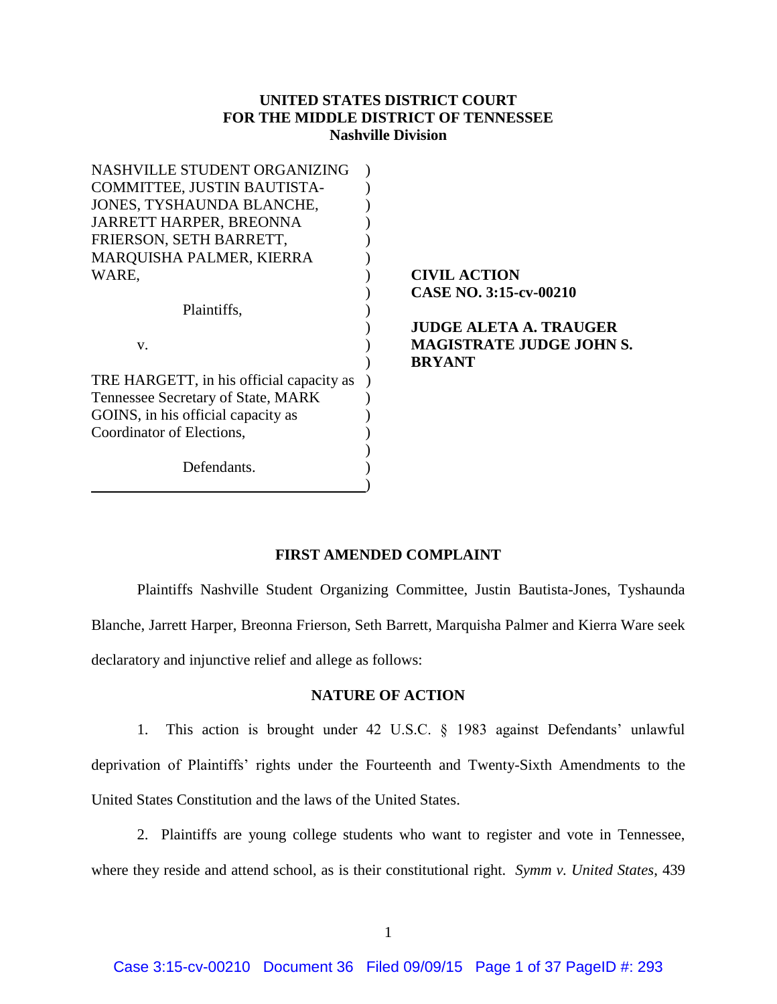# **UNITED STATES DISTRICT COURT FOR THE MIDDLE DISTRICT OF TENNESSEE Nashville Division**

| NASHVILLE STUDENT ORGANIZING             |                                 |
|------------------------------------------|---------------------------------|
| COMMITTEE, JUSTIN BAUTISTA-              |                                 |
| JONES, TYSHAUNDA BLANCHE,                |                                 |
| <b>JARRETT HARPER, BREONNA</b>           |                                 |
| FRIERSON, SETH BARRETT,                  |                                 |
| <b>MARQUISHA PALMER, KIERRA</b>          |                                 |
| WARE.                                    | <b>CIVIL ACTION</b>             |
|                                          | <b>CASE NO. 3:15-cv-00210</b>   |
| Plaintiffs.                              |                                 |
|                                          | <b>JUDGE ALETA A. TRAUGER</b>   |
| V.                                       | <b>MAGISTRATE JUDGE JOHN S.</b> |
|                                          | <b>BRYANT</b>                   |
| TRE HARGETT, in his official capacity as |                                 |
| Tennessee Secretary of State, MARK       |                                 |
| GOINS, in his official capacity as       |                                 |
| Coordinator of Elections,                |                                 |
|                                          |                                 |
| Defendants.                              |                                 |
|                                          |                                 |

# **FIRST AMENDED COMPLAINT**

Plaintiffs Nashville Student Organizing Committee, Justin Bautista-Jones, Tyshaunda Blanche, Jarrett Harper, Breonna Frierson, Seth Barrett, Marquisha Palmer and Kierra Ware seek declaratory and injunctive relief and allege as follows:

## **NATURE OF ACTION**

1.This action is brought under 42 U.S.C. § 1983 against Defendants' unlawful deprivation of Plaintiffs' rights under the Fourteenth and Twenty-Sixth Amendments to the United States Constitution and the laws of the United States.

2. Plaintiffs are young college students who want to register and vote in Tennessee, where they reside and attend school, as is their constitutional right. *Symm v. United States*, 439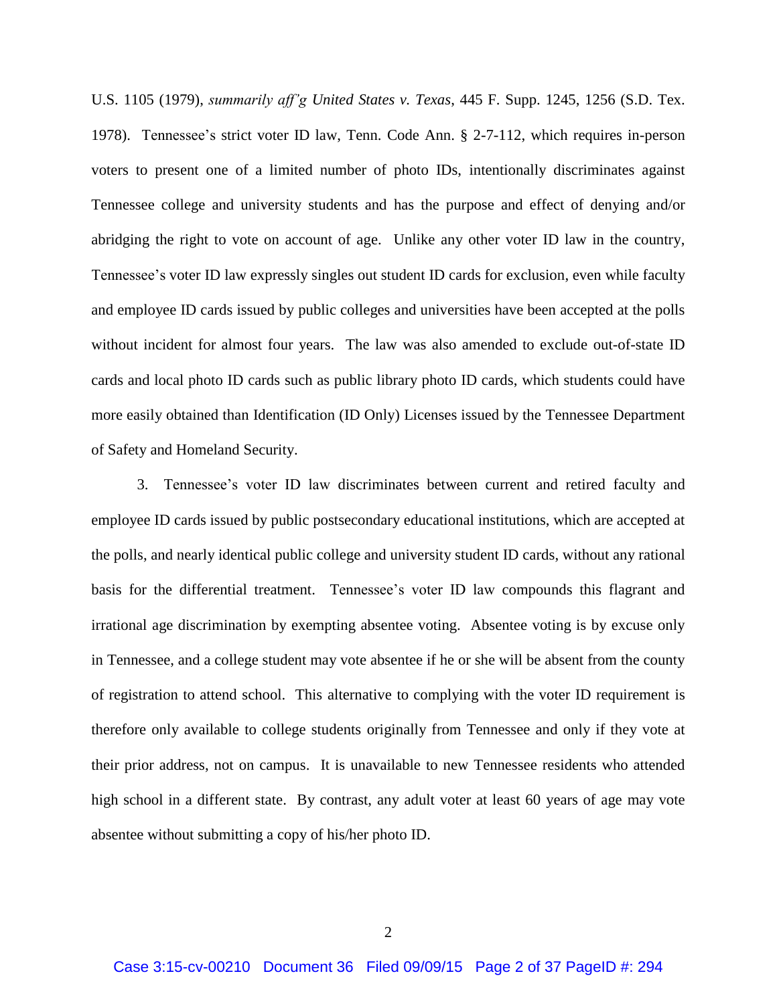U.S. 1105 (1979), *summarily aff'g United States v. Texas*, 445 F. Supp. 1245, 1256 (S.D. Tex. 1978). Tennessee's strict voter ID law, Tenn. Code Ann. § 2-7-112, which requires in-person voters to present one of a limited number of photo IDs, intentionally discriminates against Tennessee college and university students and has the purpose and effect of denying and/or abridging the right to vote on account of age. Unlike any other voter ID law in the country, Tennessee's voter ID law expressly singles out student ID cards for exclusion, even while faculty and employee ID cards issued by public colleges and universities have been accepted at the polls without incident for almost four years. The law was also amended to exclude out-of-state ID cards and local photo ID cards such as public library photo ID cards, which students could have more easily obtained than Identification (ID Only) Licenses issued by the Tennessee Department of Safety and Homeland Security.

3. Tennessee's voter ID law discriminates between current and retired faculty and employee ID cards issued by public postsecondary educational institutions, which are accepted at the polls, and nearly identical public college and university student ID cards, without any rational basis for the differential treatment. Tennessee's voter ID law compounds this flagrant and irrational age discrimination by exempting absentee voting. Absentee voting is by excuse only in Tennessee, and a college student may vote absentee if he or she will be absent from the county of registration to attend school. This alternative to complying with the voter ID requirement is therefore only available to college students originally from Tennessee and only if they vote at their prior address, not on campus. It is unavailable to new Tennessee residents who attended high school in a different state. By contrast, any adult voter at least 60 years of age may vote absentee without submitting a copy of his/her photo ID.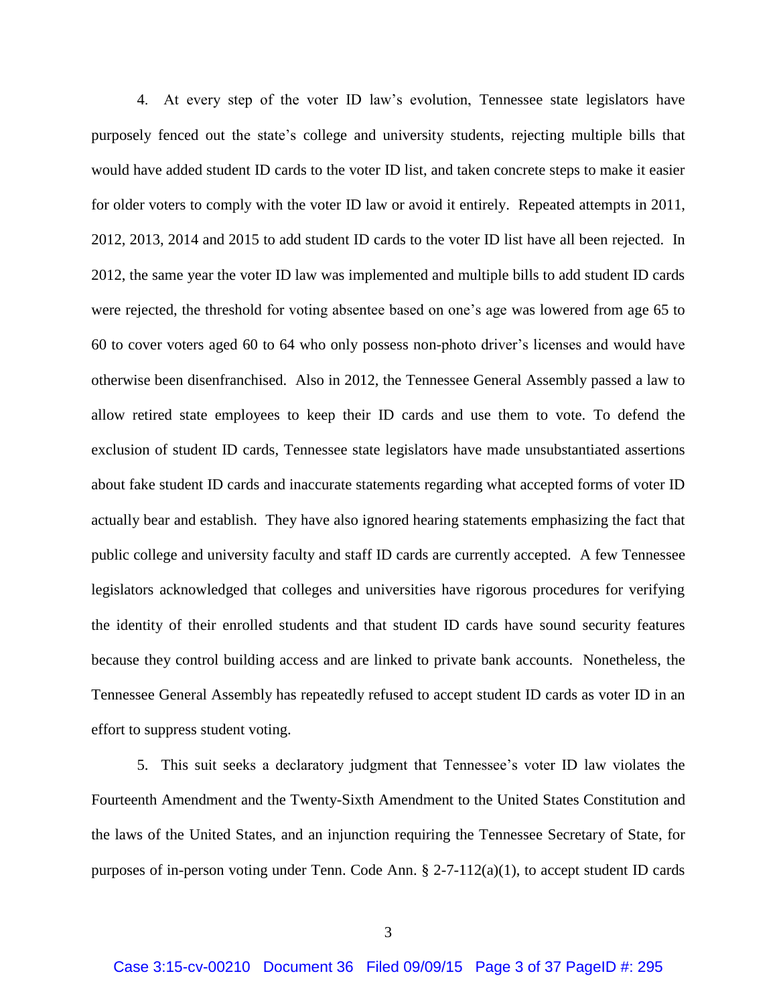4. At every step of the voter ID law's evolution, Tennessee state legislators have purposely fenced out the state's college and university students, rejecting multiple bills that would have added student ID cards to the voter ID list, and taken concrete steps to make it easier for older voters to comply with the voter ID law or avoid it entirely. Repeated attempts in 2011, 2012, 2013, 2014 and 2015 to add student ID cards to the voter ID list have all been rejected. In 2012, the same year the voter ID law was implemented and multiple bills to add student ID cards were rejected, the threshold for voting absentee based on one's age was lowered from age 65 to 60 to cover voters aged 60 to 64 who only possess non-photo driver's licenses and would have otherwise been disenfranchised. Also in 2012, the Tennessee General Assembly passed a law to allow retired state employees to keep their ID cards and use them to vote. To defend the exclusion of student ID cards, Tennessee state legislators have made unsubstantiated assertions about fake student ID cards and inaccurate statements regarding what accepted forms of voter ID actually bear and establish. They have also ignored hearing statements emphasizing the fact that public college and university faculty and staff ID cards are currently accepted. A few Tennessee legislators acknowledged that colleges and universities have rigorous procedures for verifying the identity of their enrolled students and that student ID cards have sound security features because they control building access and are linked to private bank accounts. Nonetheless, the Tennessee General Assembly has repeatedly refused to accept student ID cards as voter ID in an effort to suppress student voting.

5. This suit seeks a declaratory judgment that Tennessee's voter ID law violates the Fourteenth Amendment and the Twenty-Sixth Amendment to the United States Constitution and the laws of the United States, and an injunction requiring the Tennessee Secretary of State, for purposes of in-person voting under Tenn. Code Ann.  $\S$  2-7-112(a)(1), to accept student ID cards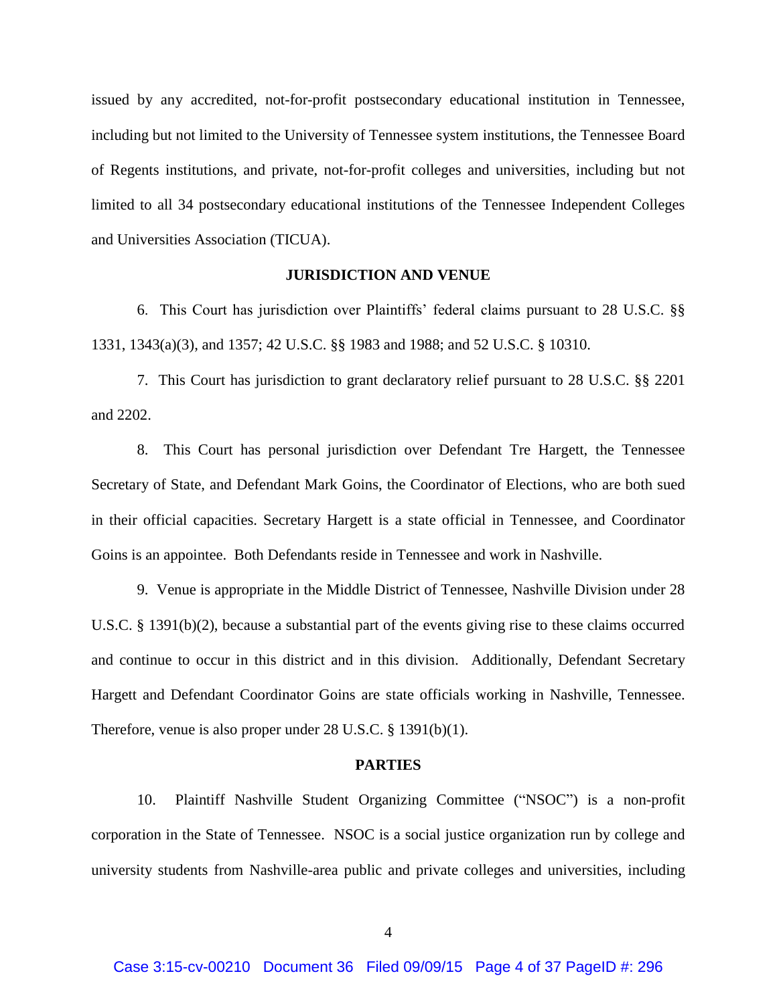issued by any accredited, not-for-profit postsecondary educational institution in Tennessee, including but not limited to the University of Tennessee system institutions, the Tennessee Board of Regents institutions, and private, not-for-profit colleges and universities, including but not limited to all 34 postsecondary educational institutions of the Tennessee Independent Colleges and Universities Association (TICUA).

#### **JURISDICTION AND VENUE**

6. This Court has jurisdiction over Plaintiffs' federal claims pursuant to 28 U.S.C. §§ 1331, 1343(a)(3), and 1357; 42 U.S.C. §§ 1983 and 1988; and 52 U.S.C. § 10310.

7. This Court has jurisdiction to grant declaratory relief pursuant to 28 U.S.C. §§ 2201 and 2202.

8. This Court has personal jurisdiction over Defendant Tre Hargett, the Tennessee Secretary of State, and Defendant Mark Goins, the Coordinator of Elections, who are both sued in their official capacities. Secretary Hargett is a state official in Tennessee, and Coordinator Goins is an appointee. Both Defendants reside in Tennessee and work in Nashville.

9. Venue is appropriate in the Middle District of Tennessee, Nashville Division under 28 U.S.C. § 1391(b)(2), because a substantial part of the events giving rise to these claims occurred and continue to occur in this district and in this division. Additionally, Defendant Secretary Hargett and Defendant Coordinator Goins are state officials working in Nashville, Tennessee. Therefore, venue is also proper under 28 U.S.C. § 1391(b)(1).

#### **PARTIES**

10. Plaintiff Nashville Student Organizing Committee ("NSOC") is a non-profit corporation in the State of Tennessee. NSOC is a social justice organization run by college and university students from Nashville-area public and private colleges and universities, including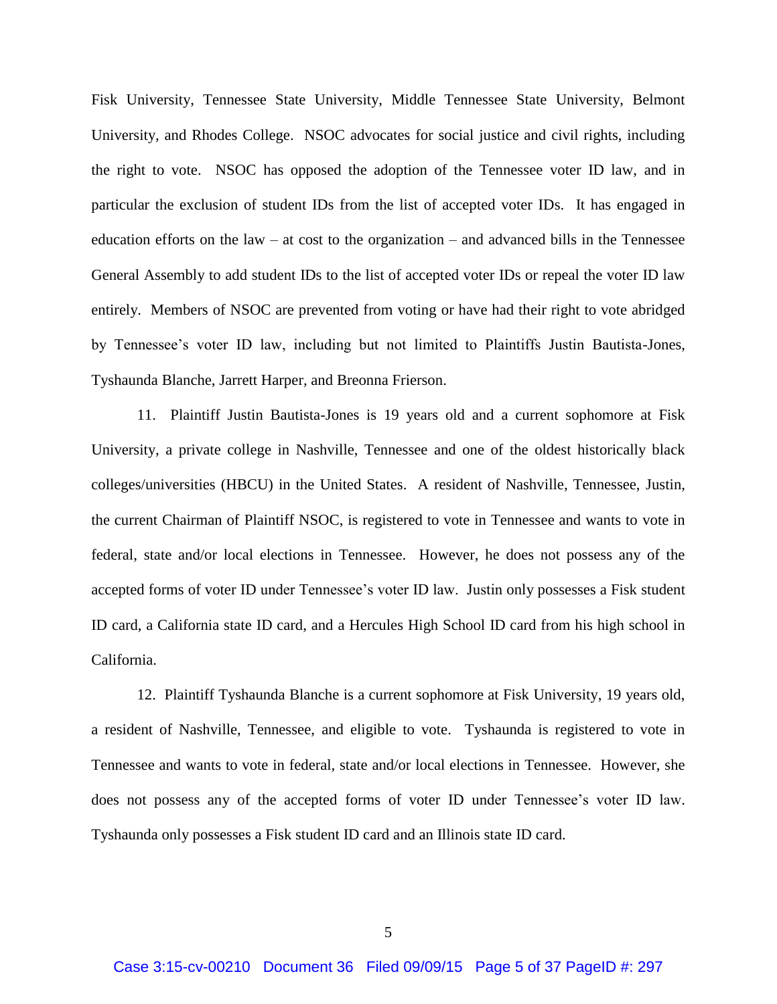Fisk University, Tennessee State University, Middle Tennessee State University, Belmont University, and Rhodes College. NSOC advocates for social justice and civil rights, including the right to vote. NSOC has opposed the adoption of the Tennessee voter ID law, and in particular the exclusion of student IDs from the list of accepted voter IDs. It has engaged in education efforts on the law – at cost to the organization – and advanced bills in the Tennessee General Assembly to add student IDs to the list of accepted voter IDs or repeal the voter ID law entirely. Members of NSOC are prevented from voting or have had their right to vote abridged by Tennessee's voter ID law, including but not limited to Plaintiffs Justin Bautista-Jones, Tyshaunda Blanche, Jarrett Harper, and Breonna Frierson.

11. Plaintiff Justin Bautista-Jones is 19 years old and a current sophomore at Fisk University, a private college in Nashville, Tennessee and one of the oldest historically black colleges/universities (HBCU) in the United States. A resident of Nashville, Tennessee, Justin, the current Chairman of Plaintiff NSOC, is registered to vote in Tennessee and wants to vote in federal, state and/or local elections in Tennessee. However, he does not possess any of the accepted forms of voter ID under Tennessee's voter ID law. Justin only possesses a Fisk student ID card, a California state ID card, and a Hercules High School ID card from his high school in California.

12. Plaintiff Tyshaunda Blanche is a current sophomore at Fisk University, 19 years old, a resident of Nashville, Tennessee, and eligible to vote. Tyshaunda is registered to vote in Tennessee and wants to vote in federal, state and/or local elections in Tennessee. However, she does not possess any of the accepted forms of voter ID under Tennessee's voter ID law. Tyshaunda only possesses a Fisk student ID card and an Illinois state ID card.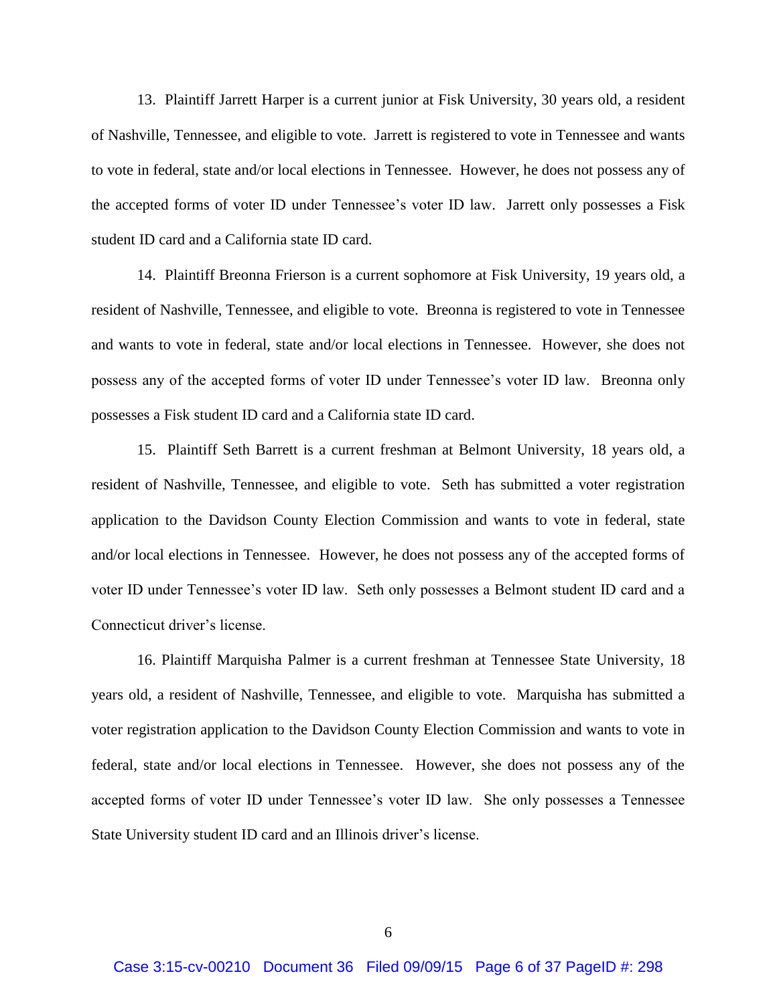13. Plaintiff Jarrett Harper is a current junior at Fisk University, 30 years old, a resident of Nashville, Tennessee, and eligible to vote. Jarrett is registered to vote in Tennessee and wants to vote in federal, state and/or local elections in Tennessee. However, he does not possess any of the accepted forms of voter ID under Tennessee's voter ID law. Jarrett only possesses a Fisk student ID card and a California state ID card.

14. Plaintiff Breonna Frierson is a current sophomore at Fisk University, 19 years old, a resident of Nashville, Tennessee, and eligible to vote. Breonna is registered to vote in Tennessee and wants to vote in federal, state and/or local elections in Tennessee. However, she does not possess any of the accepted forms of voter ID under Tennessee's voter ID law. Breonna only possesses a Fisk student ID card and a California state ID card.

15. Plaintiff Seth Barrett is a current freshman at Belmont University, 18 years old, a resident of Nashville, Tennessee, and eligible to vote. Seth has submitted a voter registration application to the Davidson County Election Commission and wants to vote in federal, state and/or local elections in Tennessee. However, he does not possess any of the accepted forms of voter ID under Tennessee's voter ID law. Seth only possesses a Belmont student ID card and a Connecticut driver's license.

16. Plaintiff Marquisha Palmer is a current freshman at Tennessee State University, 18 years old, a resident of Nashville, Tennessee, and eligible to vote. Marquisha has submitted a voter registration application to the Davidson County Election Commission and wants to vote in federal, state and/or local elections in Tennessee. However, she does not possess any of the accepted forms of voter ID under Tennessee's voter ID law. She only possesses a Tennessee State University student ID card and an Illinois driver's license.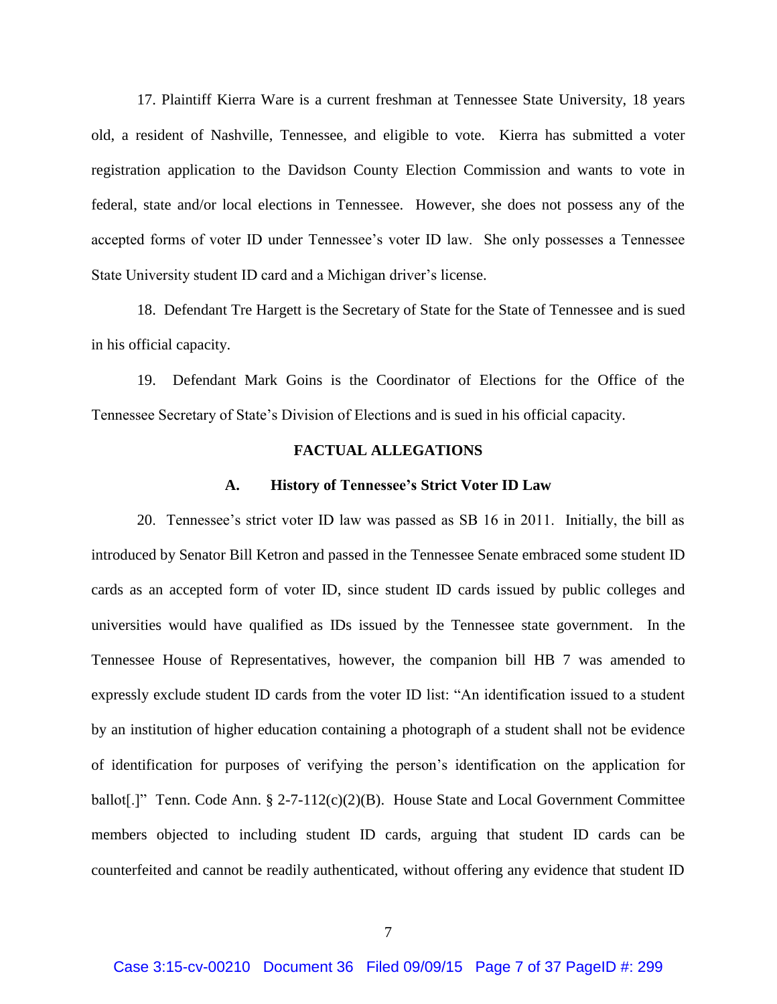17. Plaintiff Kierra Ware is a current freshman at Tennessee State University, 18 years old, a resident of Nashville, Tennessee, and eligible to vote. Kierra has submitted a voter registration application to the Davidson County Election Commission and wants to vote in federal, state and/or local elections in Tennessee. However, she does not possess any of the accepted forms of voter ID under Tennessee's voter ID law. She only possesses a Tennessee State University student ID card and a Michigan driver's license.

18. Defendant Tre Hargett is the Secretary of State for the State of Tennessee and is sued in his official capacity.

19. Defendant Mark Goins is the Coordinator of Elections for the Office of the Tennessee Secretary of State's Division of Elections and is sued in his official capacity.

### **FACTUAL ALLEGATIONS**

#### **A. History of Tennessee's Strict Voter ID Law**

20. Tennessee's strict voter ID law was passed as SB 16 in 2011. Initially, the bill as introduced by Senator Bill Ketron and passed in the Tennessee Senate embraced some student ID cards as an accepted form of voter ID, since student ID cards issued by public colleges and universities would have qualified as IDs issued by the Tennessee state government. In the Tennessee House of Representatives, however, the companion bill HB 7 was amended to expressly exclude student ID cards from the voter ID list: "An identification issued to a student by an institution of higher education containing a photograph of a student shall not be evidence of identification for purposes of verifying the person's identification on the application for ballot[.]" Tenn. Code Ann. § 2-7-112(c)(2)(B). House State and Local Government Committee members objected to including student ID cards, arguing that student ID cards can be counterfeited and cannot be readily authenticated, without offering any evidence that student ID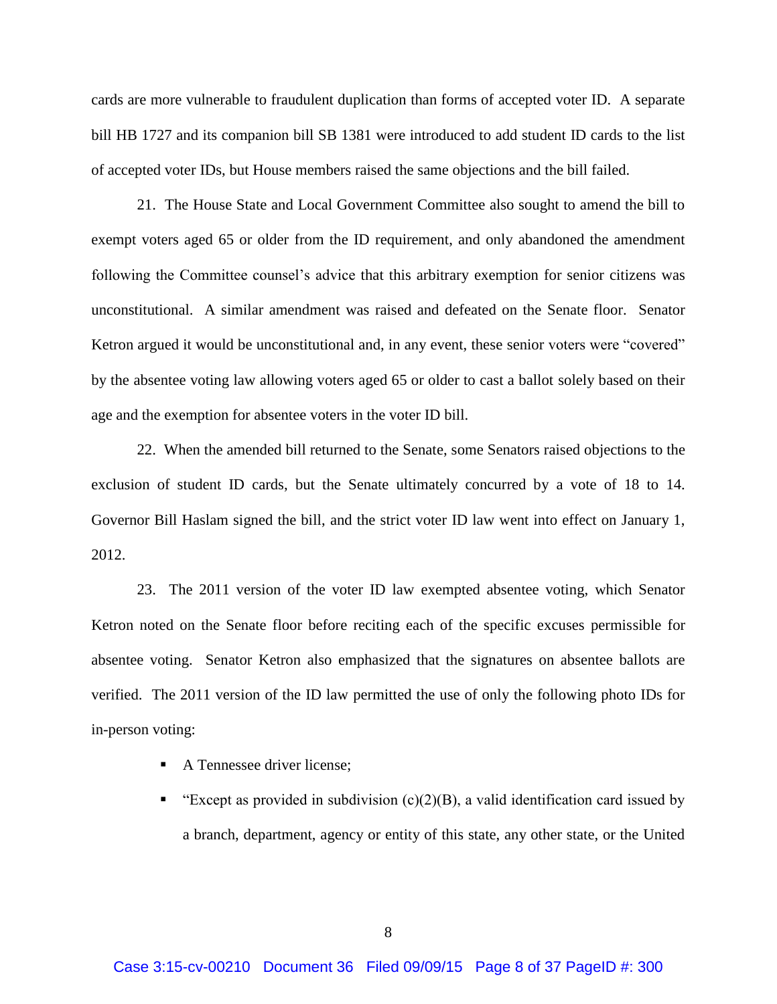cards are more vulnerable to fraudulent duplication than forms of accepted voter ID. A separate bill HB 1727 and its companion bill SB 1381 were introduced to add student ID cards to the list of accepted voter IDs, but House members raised the same objections and the bill failed.

21. The House State and Local Government Committee also sought to amend the bill to exempt voters aged 65 or older from the ID requirement, and only abandoned the amendment following the Committee counsel's advice that this arbitrary exemption for senior citizens was unconstitutional. A similar amendment was raised and defeated on the Senate floor. Senator Ketron argued it would be unconstitutional and, in any event, these senior voters were "covered" by the absentee voting law allowing voters aged 65 or older to cast a ballot solely based on their age and the exemption for absentee voters in the voter ID bill.

22. When the amended bill returned to the Senate, some Senators raised objections to the exclusion of student ID cards, but the Senate ultimately concurred by a vote of 18 to 14. Governor Bill Haslam signed the bill, and the strict voter ID law went into effect on January 1, 2012.

23. The 2011 version of the voter ID law exempted absentee voting, which Senator Ketron noted on the Senate floor before reciting each of the specific excuses permissible for absentee voting. Senator Ketron also emphasized that the signatures on absentee ballots are verified. The 2011 version of the ID law permitted the use of only the following photo IDs for in-person voting:

- A Tennessee driver license;
- "Except as provided in subdivision  $(c)(2)(B)$ , a valid identification card issued by a branch, department, agency or entity of this state, any other state, or the United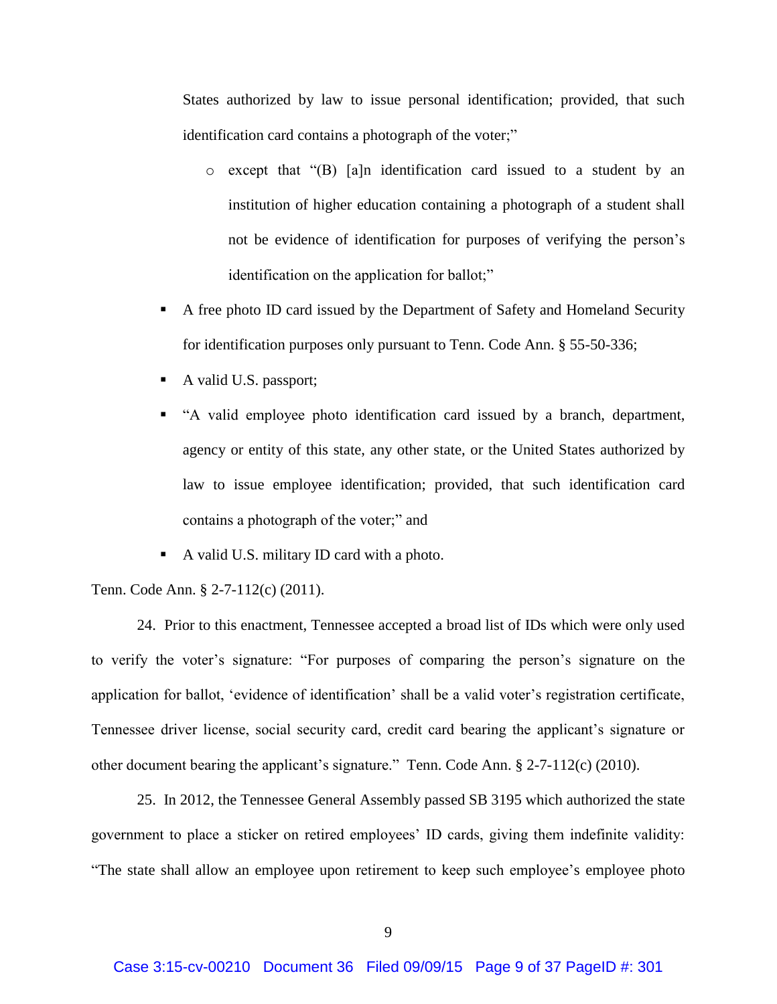States authorized by law to issue personal identification; provided, that such identification card contains a photograph of the voter;"

- o except that "(B) [a]n identification card issued to a student by an institution of higher education containing a photograph of a student shall not be evidence of identification for purposes of verifying the person's identification on the application for ballot;"
- A free photo ID card issued by the Department of Safety and Homeland Security for identification purposes only pursuant to Tenn. Code Ann. § 55-50-336;
- A valid U.S. passport;
- "A valid employee photo identification card issued by a branch, department, agency or entity of this state, any other state, or the United States authorized by law to issue employee identification; provided, that such identification card contains a photograph of the voter;" and
- A valid U.S. military ID card with a photo.

Tenn. Code Ann. § 2-7-112(c) (2011).

24. Prior to this enactment, Tennessee accepted a broad list of IDs which were only used to verify the voter's signature: "For purposes of comparing the person's signature on the application for ballot, 'evidence of identification' shall be a valid voter's registration certificate, Tennessee driver license, social security card, credit card bearing the applicant's signature or other document bearing the applicant's signature." Tenn. Code Ann. § 2-7-112(c) (2010).

25. In 2012, the Tennessee General Assembly passed SB 3195 which authorized the state government to place a sticker on retired employees' ID cards, giving them indefinite validity: "The state shall allow an employee upon retirement to keep such employee's employee photo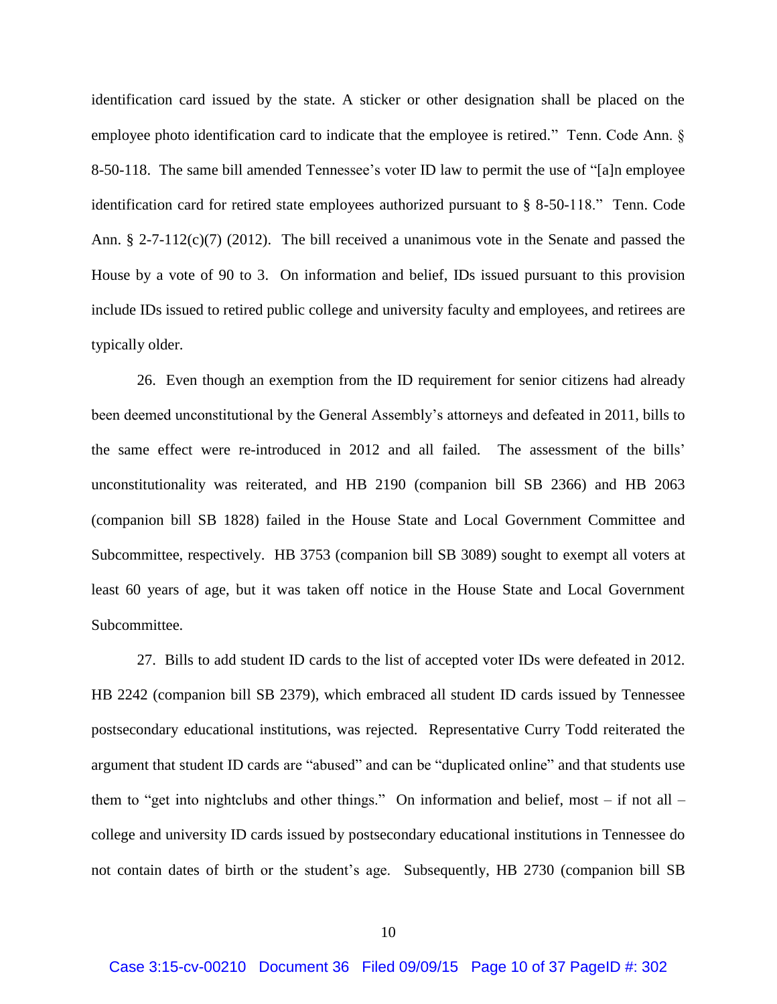identification card issued by the state. A sticker or other designation shall be placed on the employee photo identification card to indicate that the employee is retired." Tenn. Code Ann. § 8-50-118. The same bill amended Tennessee's voter ID law to permit the use of "[a]n employee identification card for retired state employees authorized pursuant to § 8-50-118." Tenn. Code Ann. § 2-7-112(c)(7) (2012). The bill received a unanimous vote in the Senate and passed the House by a vote of 90 to 3. On information and belief, IDs issued pursuant to this provision include IDs issued to retired public college and university faculty and employees, and retirees are typically older.

26. Even though an exemption from the ID requirement for senior citizens had already been deemed unconstitutional by the General Assembly's attorneys and defeated in 2011, bills to the same effect were re-introduced in 2012 and all failed. The assessment of the bills' unconstitutionality was reiterated, and HB 2190 (companion bill SB 2366) and HB 2063 (companion bill SB 1828) failed in the House State and Local Government Committee and Subcommittee, respectively. HB 3753 (companion bill SB 3089) sought to exempt all voters at least 60 years of age, but it was taken off notice in the House State and Local Government Subcommittee.

27. Bills to add student ID cards to the list of accepted voter IDs were defeated in 2012. HB 2242 (companion bill SB 2379), which embraced all student ID cards issued by Tennessee postsecondary educational institutions, was rejected. Representative Curry Todd reiterated the argument that student ID cards are "abused" and can be "duplicated online" and that students use them to "get into nightclubs and other things." On information and belief, most – if not all – college and university ID cards issued by postsecondary educational institutions in Tennessee do not contain dates of birth or the student's age. Subsequently, HB 2730 (companion bill SB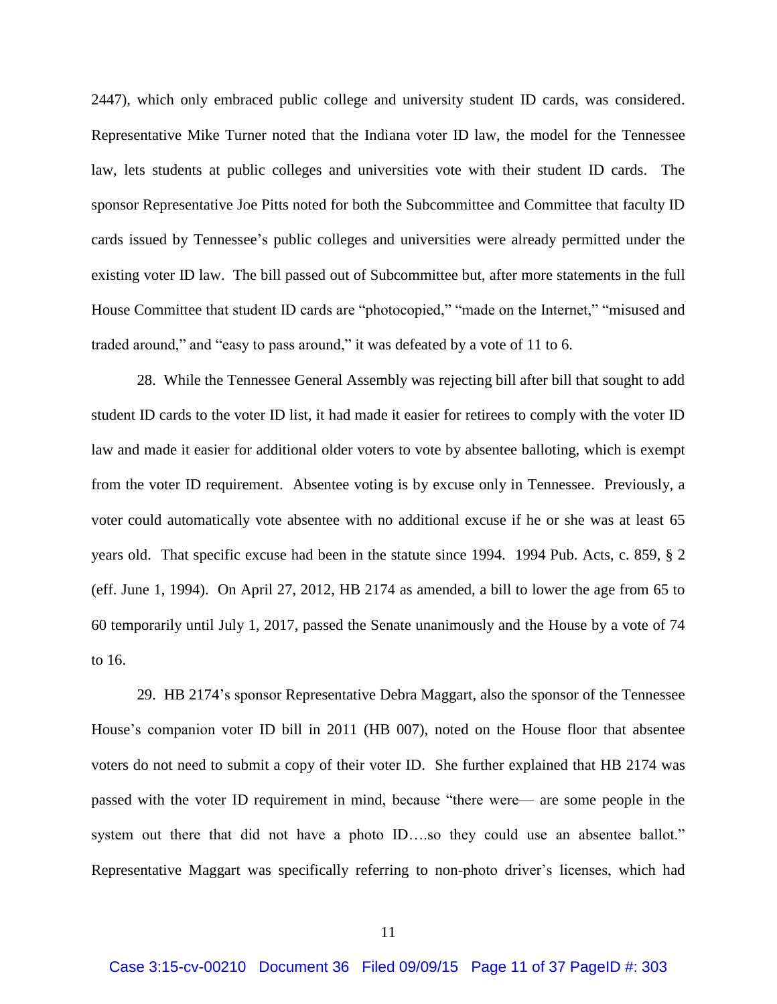2447), which only embraced public college and university student ID cards, was considered. Representative Mike Turner noted that the Indiana voter ID law, the model for the Tennessee law, lets students at public colleges and universities vote with their student ID cards. The sponsor Representative Joe Pitts noted for both the Subcommittee and Committee that faculty ID cards issued by Tennessee's public colleges and universities were already permitted under the existing voter ID law. The bill passed out of Subcommittee but, after more statements in the full House Committee that student ID cards are "photocopied," "made on the Internet," "misused and traded around," and "easy to pass around," it was defeated by a vote of 11 to 6.

28. While the Tennessee General Assembly was rejecting bill after bill that sought to add student ID cards to the voter ID list, it had made it easier for retirees to comply with the voter ID law and made it easier for additional older voters to vote by absentee balloting, which is exempt from the voter ID requirement. Absentee voting is by excuse only in Tennessee. Previously, a voter could automatically vote absentee with no additional excuse if he or she was at least 65 years old. That specific excuse had been in the statute since 1994. 1994 Pub. Acts, c. 859, § 2 (eff. June 1, 1994). On April 27, 2012, HB 2174 as amended, a bill to lower the age from 65 to 60 temporarily until July 1, 2017, passed the Senate unanimously and the House by a vote of 74 to 16.

29. HB 2174's sponsor Representative Debra Maggart, also the sponsor of the Tennessee House's companion voter ID bill in 2011 (HB 007), noted on the House floor that absentee voters do not need to submit a copy of their voter ID. She further explained that HB 2174 was passed with the voter ID requirement in mind, because "there were— are some people in the system out there that did not have a photo ID...so they could use an absentee ballot." Representative Maggart was specifically referring to non-photo driver's licenses, which had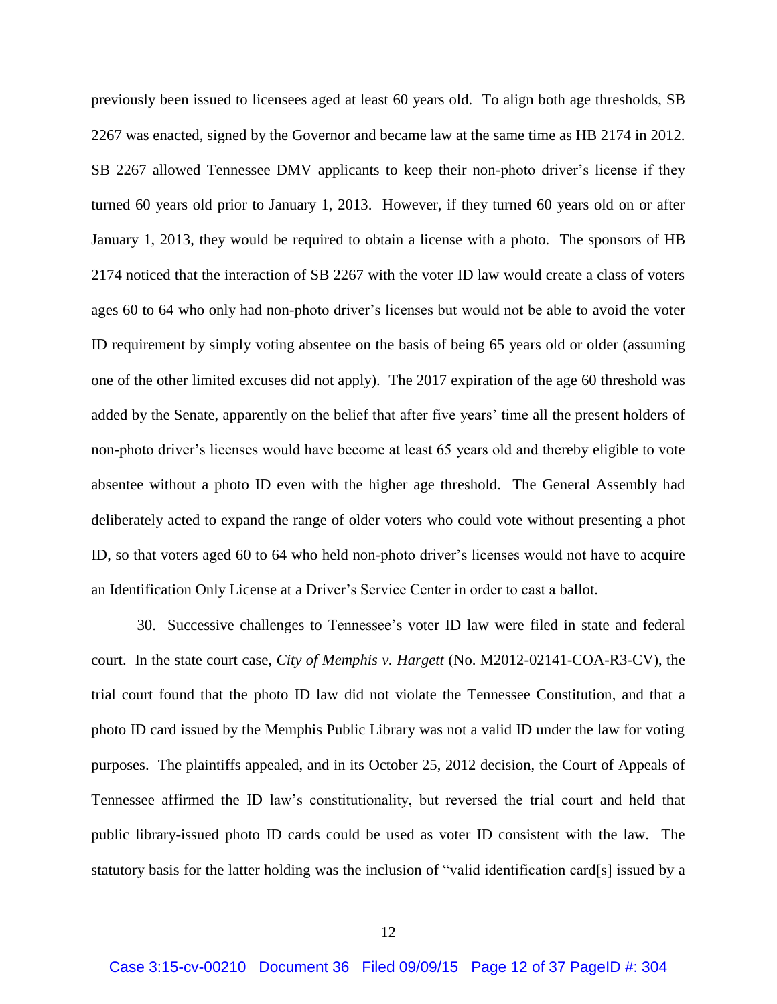previously been issued to licensees aged at least 60 years old. To align both age thresholds, SB 2267 was enacted, signed by the Governor and became law at the same time as HB 2174 in 2012. SB 2267 allowed Tennessee DMV applicants to keep their non-photo driver's license if they turned 60 years old prior to January 1, 2013. However, if they turned 60 years old on or after January 1, 2013, they would be required to obtain a license with a photo. The sponsors of HB 2174 noticed that the interaction of SB 2267 with the voter ID law would create a class of voters ages 60 to 64 who only had non-photo driver's licenses but would not be able to avoid the voter ID requirement by simply voting absentee on the basis of being 65 years old or older (assuming one of the other limited excuses did not apply). The 2017 expiration of the age 60 threshold was added by the Senate, apparently on the belief that after five years' time all the present holders of non-photo driver's licenses would have become at least 65 years old and thereby eligible to vote absentee without a photo ID even with the higher age threshold. The General Assembly had deliberately acted to expand the range of older voters who could vote without presenting a phot ID, so that voters aged 60 to 64 who held non-photo driver's licenses would not have to acquire an Identification Only License at a Driver's Service Center in order to cast a ballot.

30. Successive challenges to Tennessee's voter ID law were filed in state and federal court. In the state court case, *City of Memphis v. Hargett* (No. M2012-02141-COA-R3-CV), the trial court found that the photo ID law did not violate the Tennessee Constitution, and that a photo ID card issued by the Memphis Public Library was not a valid ID under the law for voting purposes. The plaintiffs appealed, and in its October 25, 2012 decision, the Court of Appeals of Tennessee affirmed the ID law's constitutionality, but reversed the trial court and held that public library-issued photo ID cards could be used as voter ID consistent with the law. The statutory basis for the latter holding was the inclusion of "valid identification card[s] issued by a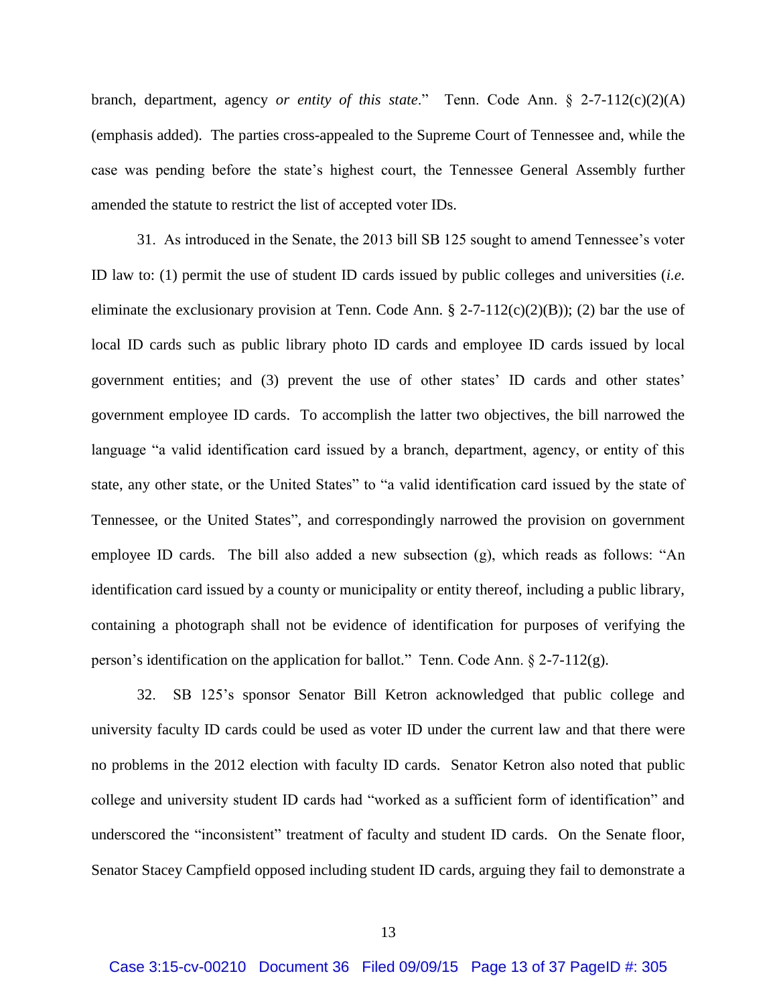branch, department, agency *or entity of this state*." Tenn. Code Ann. § 2-7-112(c)(2)(A) (emphasis added). The parties cross-appealed to the Supreme Court of Tennessee and, while the case was pending before the state's highest court, the Tennessee General Assembly further amended the statute to restrict the list of accepted voter IDs.

31. As introduced in the Senate, the 2013 bill SB 125 sought to amend Tennessee's voter ID law to: (1) permit the use of student ID cards issued by public colleges and universities (*i.e.*  eliminate the exclusionary provision at Tenn. Code Ann.  $\S 2-7-112(c)(2)(B)$ ; (2) bar the use of local ID cards such as public library photo ID cards and employee ID cards issued by local government entities; and (3) prevent the use of other states' ID cards and other states' government employee ID cards. To accomplish the latter two objectives, the bill narrowed the language "a valid identification card issued by a branch, department, agency, or entity of this state, any other state, or the United States" to "a valid identification card issued by the state of Tennessee, or the United States", and correspondingly narrowed the provision on government employee ID cards. The bill also added a new subsection (g), which reads as follows: "An identification card issued by a county or municipality or entity thereof, including a public library, containing a photograph shall not be evidence of identification for purposes of verifying the person's identification on the application for ballot." Tenn. Code Ann.  $\S$  2-7-112(g).

32. SB 125's sponsor Senator Bill Ketron acknowledged that public college and university faculty ID cards could be used as voter ID under the current law and that there were no problems in the 2012 election with faculty ID cards. Senator Ketron also noted that public college and university student ID cards had "worked as a sufficient form of identification" and underscored the "inconsistent" treatment of faculty and student ID cards. On the Senate floor, Senator Stacey Campfield opposed including student ID cards, arguing they fail to demonstrate a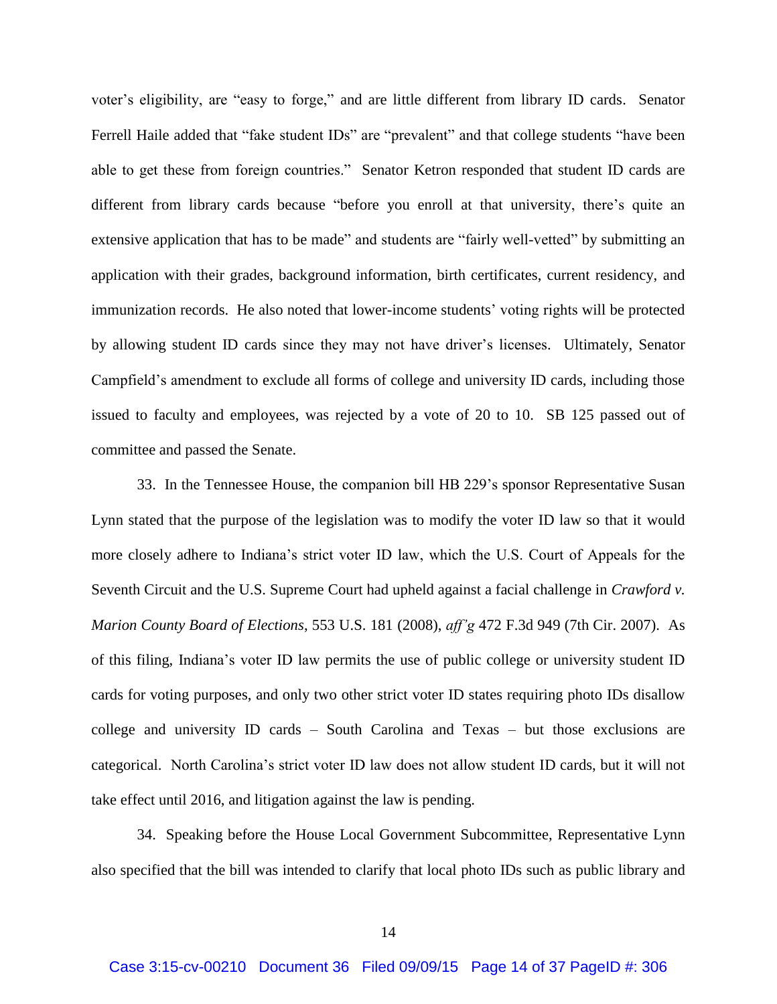voter's eligibility, are "easy to forge," and are little different from library ID cards. Senator Ferrell Haile added that "fake student IDs" are "prevalent" and that college students "have been able to get these from foreign countries." Senator Ketron responded that student ID cards are different from library cards because "before you enroll at that university, there's quite an extensive application that has to be made" and students are "fairly well-vetted" by submitting an application with their grades, background information, birth certificates, current residency, and immunization records. He also noted that lower-income students' voting rights will be protected by allowing student ID cards since they may not have driver's licenses. Ultimately, Senator Campfield's amendment to exclude all forms of college and university ID cards, including those issued to faculty and employees, was rejected by a vote of 20 to 10. SB 125 passed out of committee and passed the Senate.

33. In the Tennessee House, the companion bill HB 229's sponsor Representative Susan Lynn stated that the purpose of the legislation was to modify the voter ID law so that it would more closely adhere to Indiana's strict voter ID law, which the U.S. Court of Appeals for the Seventh Circuit and the U.S. Supreme Court had upheld against a facial challenge in *Crawford v. Marion County Board of Elections*, 553 U.S. 181 (2008), *aff'g* 472 F.3d 949 (7th Cir. 2007). As of this filing, Indiana's voter ID law permits the use of public college or university student ID cards for voting purposes, and only two other strict voter ID states requiring photo IDs disallow college and university ID cards – South Carolina and Texas – but those exclusions are categorical. North Carolina's strict voter ID law does not allow student ID cards, but it will not take effect until 2016, and litigation against the law is pending.

34. Speaking before the House Local Government Subcommittee, Representative Lynn also specified that the bill was intended to clarify that local photo IDs such as public library and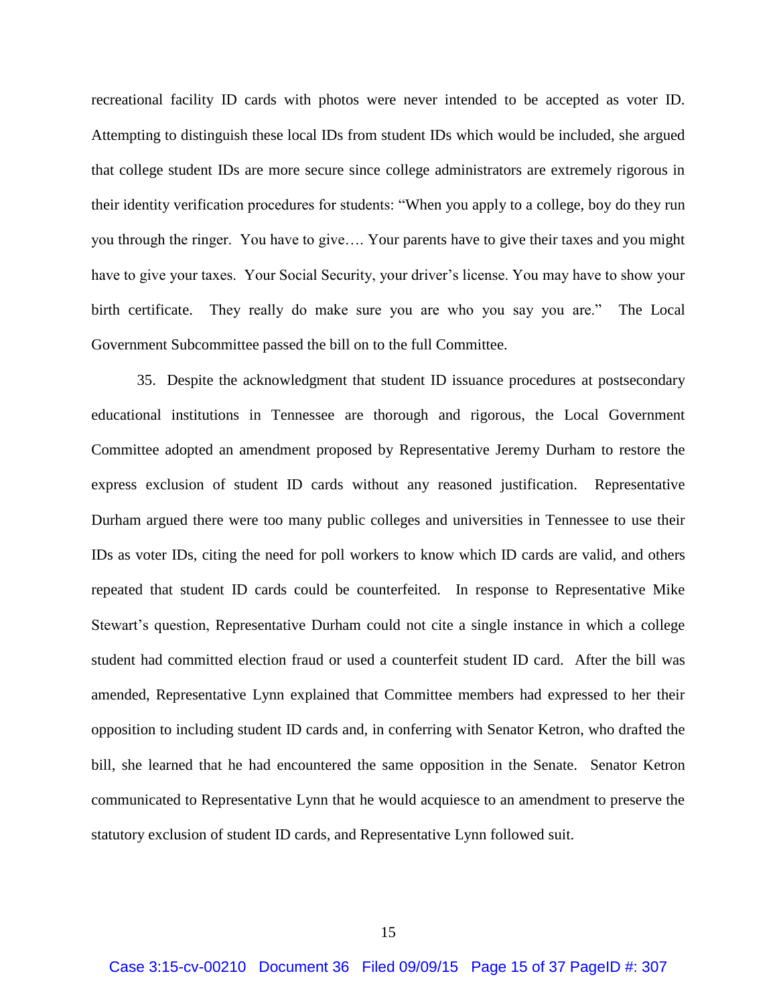recreational facility ID cards with photos were never intended to be accepted as voter ID. Attempting to distinguish these local IDs from student IDs which would be included, she argued that college student IDs are more secure since college administrators are extremely rigorous in their identity verification procedures for students: "When you apply to a college, boy do they run you through the ringer. You have to give…. Your parents have to give their taxes and you might have to give your taxes. Your Social Security, your driver's license. You may have to show your birth certificate. They really do make sure you are who you say you are." The Local Government Subcommittee passed the bill on to the full Committee.

35. Despite the acknowledgment that student ID issuance procedures at postsecondary educational institutions in Tennessee are thorough and rigorous, the Local Government Committee adopted an amendment proposed by Representative Jeremy Durham to restore the express exclusion of student ID cards without any reasoned justification. Representative Durham argued there were too many public colleges and universities in Tennessee to use their IDs as voter IDs, citing the need for poll workers to know which ID cards are valid, and others repeated that student ID cards could be counterfeited. In response to Representative Mike Stewart's question, Representative Durham could not cite a single instance in which a college student had committed election fraud or used a counterfeit student ID card. After the bill was amended, Representative Lynn explained that Committee members had expressed to her their opposition to including student ID cards and, in conferring with Senator Ketron, who drafted the bill, she learned that he had encountered the same opposition in the Senate. Senator Ketron communicated to Representative Lynn that he would acquiesce to an amendment to preserve the statutory exclusion of student ID cards, and Representative Lynn followed suit.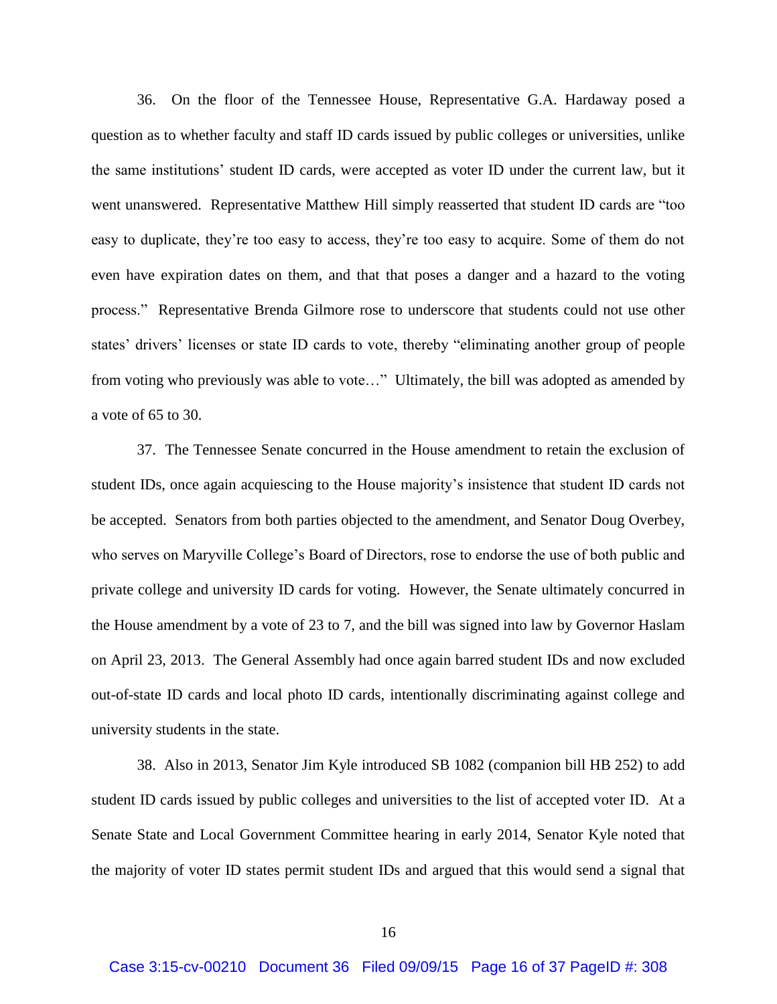36. On the floor of the Tennessee House, Representative G.A. Hardaway posed a question as to whether faculty and staff ID cards issued by public colleges or universities, unlike the same institutions' student ID cards, were accepted as voter ID under the current law, but it went unanswered. Representative Matthew Hill simply reasserted that student ID cards are "too easy to duplicate, they're too easy to access, they're too easy to acquire. Some of them do not even have expiration dates on them, and that that poses a danger and a hazard to the voting process." Representative Brenda Gilmore rose to underscore that students could not use other states' drivers' licenses or state ID cards to vote, thereby "eliminating another group of people from voting who previously was able to vote…" Ultimately, the bill was adopted as amended by a vote of 65 to 30.

37. The Tennessee Senate concurred in the House amendment to retain the exclusion of student IDs, once again acquiescing to the House majority's insistence that student ID cards not be accepted. Senators from both parties objected to the amendment, and Senator Doug Overbey, who serves on Maryville College's Board of Directors, rose to endorse the use of both public and private college and university ID cards for voting. However, the Senate ultimately concurred in the House amendment by a vote of 23 to 7, and the bill was signed into law by Governor Haslam on April 23, 2013. The General Assembly had once again barred student IDs and now excluded out-of-state ID cards and local photo ID cards, intentionally discriminating against college and university students in the state.

38. Also in 2013, Senator Jim Kyle introduced SB 1082 (companion bill HB 252) to add student ID cards issued by public colleges and universities to the list of accepted voter ID. At a Senate State and Local Government Committee hearing in early 2014, Senator Kyle noted that the majority of voter ID states permit student IDs and argued that this would send a signal that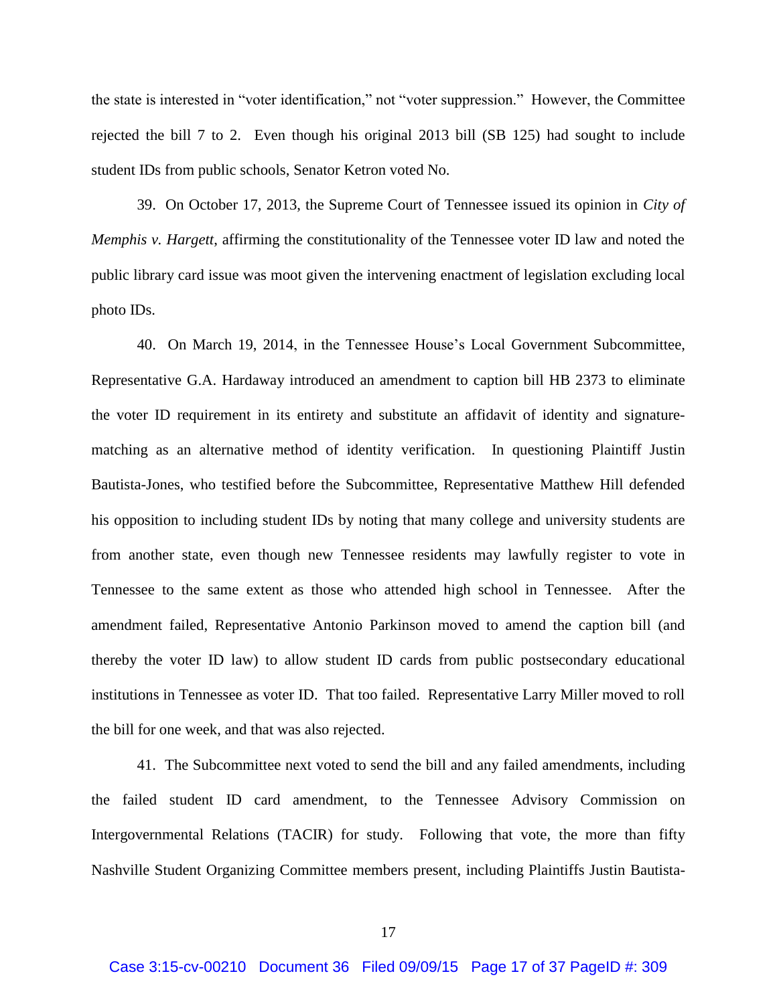the state is interested in "voter identification," not "voter suppression." However, the Committee rejected the bill 7 to 2. Even though his original 2013 bill (SB 125) had sought to include student IDs from public schools, Senator Ketron voted No.

39. On October 17, 2013, the Supreme Court of Tennessee issued its opinion in *City of Memphis v. Hargett*, affirming the constitutionality of the Tennessee voter ID law and noted the public library card issue was moot given the intervening enactment of legislation excluding local photo IDs.

40. On March 19, 2014, in the Tennessee House's Local Government Subcommittee, Representative G.A. Hardaway introduced an amendment to caption bill HB 2373 to eliminate the voter ID requirement in its entirety and substitute an affidavit of identity and signaturematching as an alternative method of identity verification. In questioning Plaintiff Justin Bautista-Jones, who testified before the Subcommittee, Representative Matthew Hill defended his opposition to including student IDs by noting that many college and university students are from another state, even though new Tennessee residents may lawfully register to vote in Tennessee to the same extent as those who attended high school in Tennessee. After the amendment failed, Representative Antonio Parkinson moved to amend the caption bill (and thereby the voter ID law) to allow student ID cards from public postsecondary educational institutions in Tennessee as voter ID. That too failed. Representative Larry Miller moved to roll the bill for one week, and that was also rejected.

41. The Subcommittee next voted to send the bill and any failed amendments, including the failed student ID card amendment, to the Tennessee Advisory Commission on Intergovernmental Relations (TACIR) for study. Following that vote, the more than fifty Nashville Student Organizing Committee members present, including Plaintiffs Justin Bautista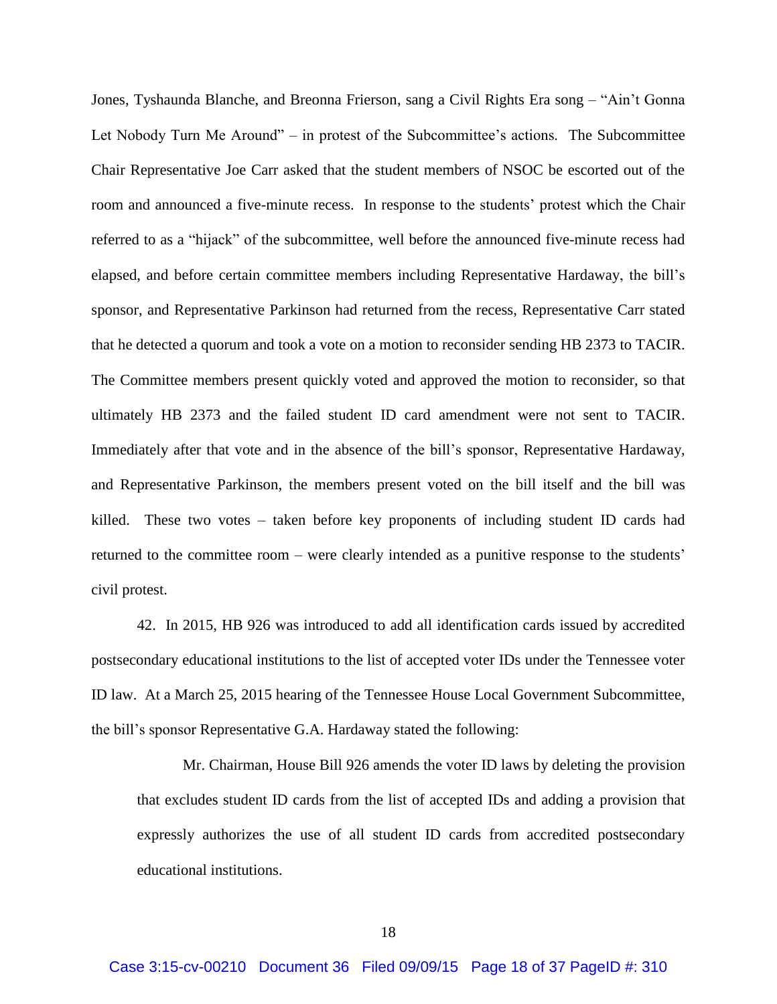Jones, Tyshaunda Blanche, and Breonna Frierson, sang a Civil Rights Era song – "Ain't Gonna Let Nobody Turn Me Around" – in protest of the Subcommittee's actions. The Subcommittee Chair Representative Joe Carr asked that the student members of NSOC be escorted out of the room and announced a five-minute recess. In response to the students' protest which the Chair referred to as a "hijack" of the subcommittee, well before the announced five-minute recess had elapsed, and before certain committee members including Representative Hardaway, the bill's sponsor, and Representative Parkinson had returned from the recess, Representative Carr stated that he detected a quorum and took a vote on a motion to reconsider sending HB 2373 to TACIR. The Committee members present quickly voted and approved the motion to reconsider, so that ultimately HB 2373 and the failed student ID card amendment were not sent to TACIR. Immediately after that vote and in the absence of the bill's sponsor, Representative Hardaway, and Representative Parkinson, the members present voted on the bill itself and the bill was killed. These two votes – taken before key proponents of including student ID cards had returned to the committee room – were clearly intended as a punitive response to the students' civil protest.

42. In 2015, HB 926 was introduced to add all identification cards issued by accredited postsecondary educational institutions to the list of accepted voter IDs under the Tennessee voter ID law. At a March 25, 2015 hearing of the Tennessee House Local Government Subcommittee, the bill's sponsor Representative G.A. Hardaway stated the following:

Mr. Chairman, House Bill 926 amends the voter ID laws by deleting the provision that excludes student ID cards from the list of accepted IDs and adding a provision that expressly authorizes the use of all student ID cards from accredited postsecondary educational institutions.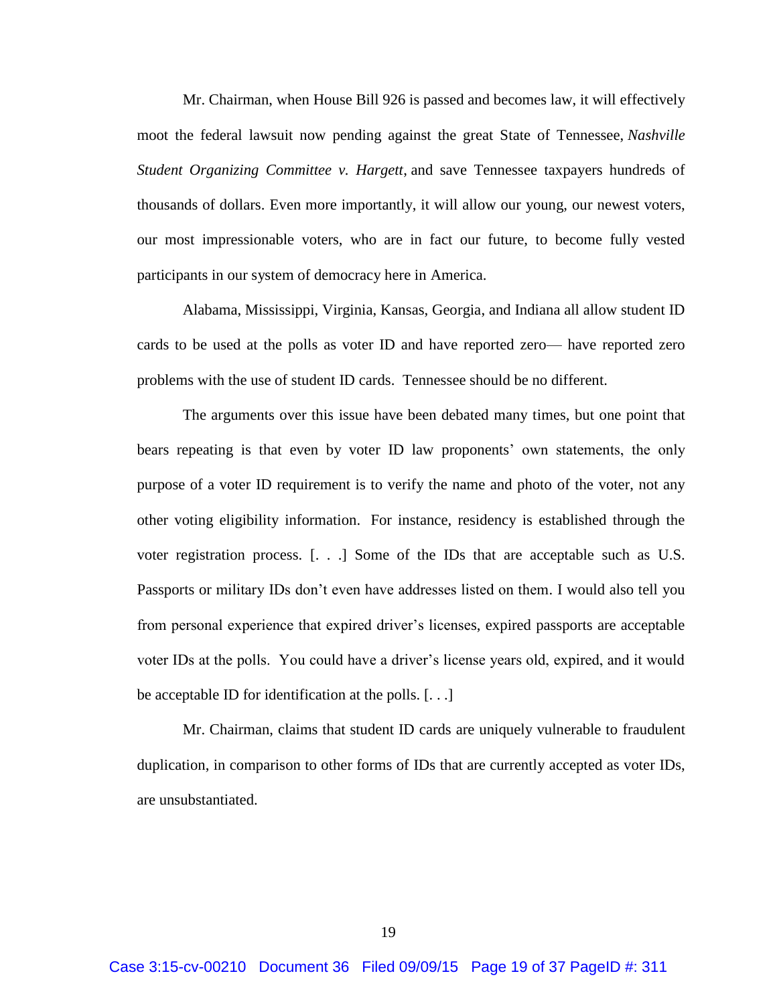Mr. Chairman, when House Bill 926 is passed and becomes law, it will effectively moot the federal lawsuit now pending against the great State of Tennessee, *Nashville Student Organizing Committee v. Hargett*, and save Tennessee taxpayers hundreds of thousands of dollars. Even more importantly, it will allow our young, our newest voters, our most impressionable voters, who are in fact our future, to become fully vested participants in our system of democracy here in America.

Alabama, Mississippi, Virginia, Kansas, Georgia, and Indiana all allow student ID cards to be used at the polls as voter ID and have reported zero— have reported zero problems with the use of student ID cards. Tennessee should be no different.

The arguments over this issue have been debated many times, but one point that bears repeating is that even by voter ID law proponents' own statements, the only purpose of a voter ID requirement is to verify the name and photo of the voter, not any other voting eligibility information. For instance, residency is established through the voter registration process. [. . .] Some of the IDs that are acceptable such as U.S. Passports or military IDs don't even have addresses listed on them. I would also tell you from personal experience that expired driver's licenses, expired passports are acceptable voter IDs at the polls. You could have a driver's license years old, expired, and it would be acceptable ID for identification at the polls. [. . .]

Mr. Chairman, claims that student ID cards are uniquely vulnerable to fraudulent duplication, in comparison to other forms of IDs that are currently accepted as voter IDs, are unsubstantiated.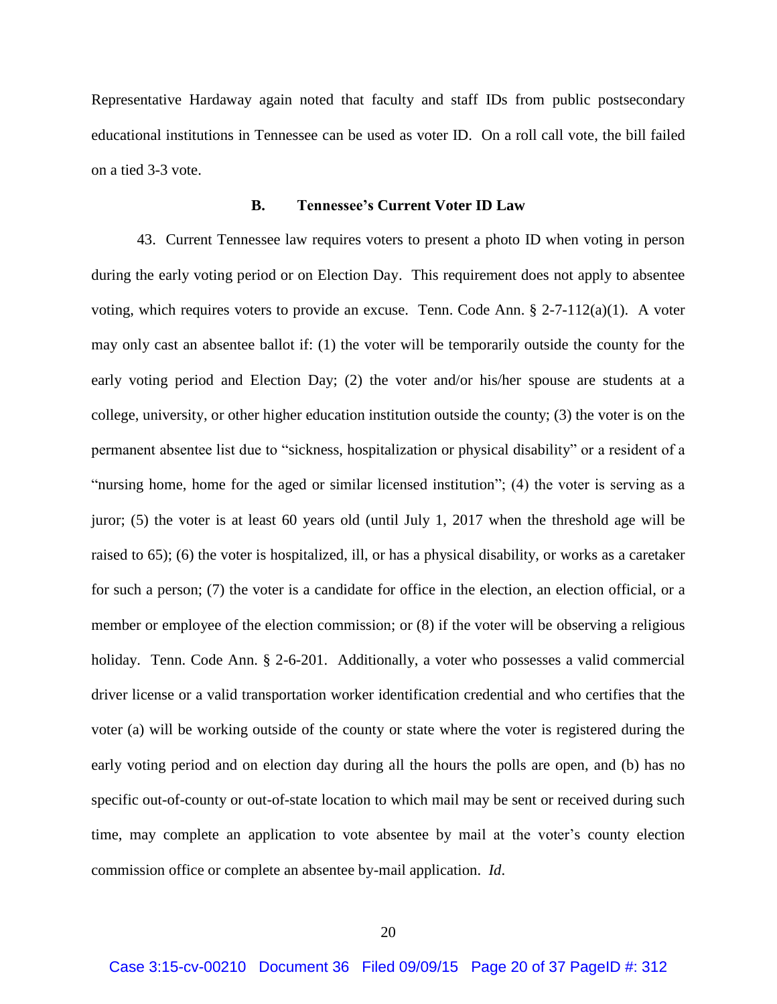Representative Hardaway again noted that faculty and staff IDs from public postsecondary educational institutions in Tennessee can be used as voter ID. On a roll call vote, the bill failed on a tied 3-3 vote.

#### **B. Tennessee's Current Voter ID Law**

43. Current Tennessee law requires voters to present a photo ID when voting in person during the early voting period or on Election Day. This requirement does not apply to absentee voting, which requires voters to provide an excuse. Tenn. Code Ann. § 2-7-112(a)(1). A voter may only cast an absentee ballot if: (1) the voter will be temporarily outside the county for the early voting period and Election Day; (2) the voter and/or his/her spouse are students at a college, university, or other higher education institution outside the county; (3) the voter is on the permanent absentee list due to "sickness, hospitalization or physical disability" or a resident of a "nursing home, home for the aged or similar licensed institution"; (4) the voter is serving as a juror; (5) the voter is at least 60 years old (until July 1, 2017 when the threshold age will be raised to 65); (6) the voter is hospitalized, ill, or has a physical disability, or works as a caretaker for such a person; (7) the voter is a candidate for office in the election, an election official, or a member or employee of the election commission; or (8) if the voter will be observing a religious holiday. Tenn. Code Ann. § 2-6-201. Additionally, a voter who possesses a valid commercial driver license or a valid transportation worker identification credential and who certifies that the voter (a) will be working outside of the county or state where the voter is registered during the early voting period and on election day during all the hours the polls are open, and (b) has no specific out-of-county or out-of-state location to which mail may be sent or received during such time, may complete an application to vote absentee by mail at the voter's county election commission office or complete an absentee by-mail application. *Id*.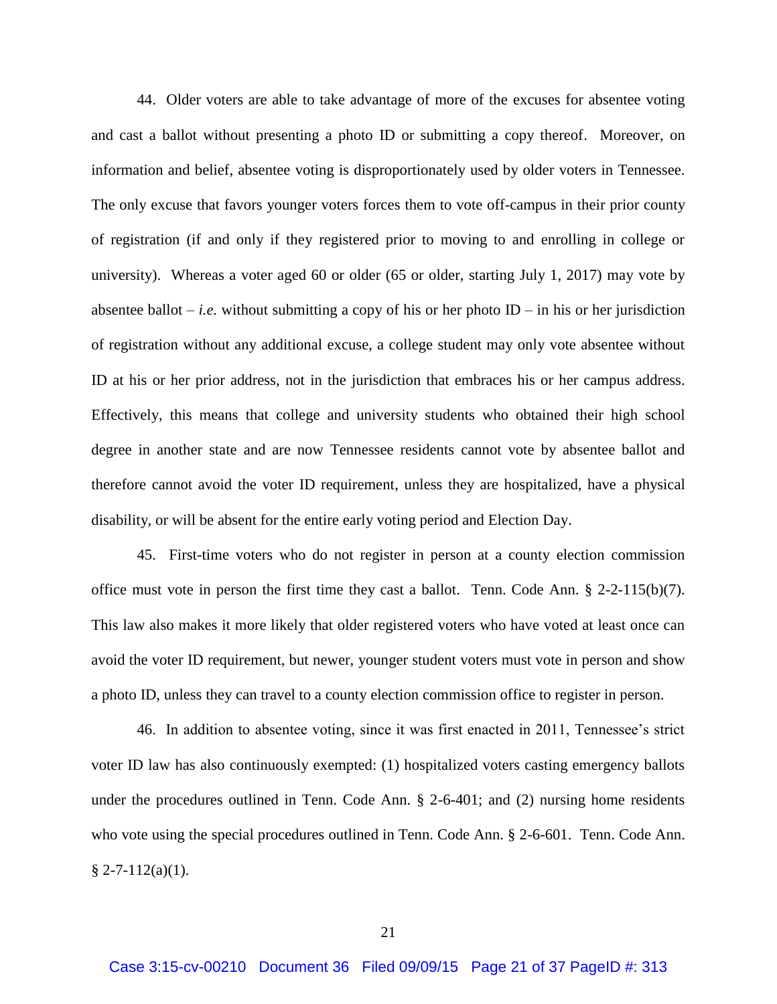44. Older voters are able to take advantage of more of the excuses for absentee voting and cast a ballot without presenting a photo ID or submitting a copy thereof. Moreover, on information and belief, absentee voting is disproportionately used by older voters in Tennessee. The only excuse that favors younger voters forces them to vote off-campus in their prior county of registration (if and only if they registered prior to moving to and enrolling in college or university). Whereas a voter aged 60 or older (65 or older, starting July 1, 2017) may vote by absentee ballot – *i.e.* without submitting a copy of his or her photo ID – in his or her jurisdiction of registration without any additional excuse, a college student may only vote absentee without ID at his or her prior address, not in the jurisdiction that embraces his or her campus address. Effectively, this means that college and university students who obtained their high school degree in another state and are now Tennessee residents cannot vote by absentee ballot and therefore cannot avoid the voter ID requirement, unless they are hospitalized, have a physical disability, or will be absent for the entire early voting period and Election Day.

45. First-time voters who do not register in person at a county election commission office must vote in person the first time they cast a ballot. Tenn. Code Ann. § 2-2-115(b)(7). This law also makes it more likely that older registered voters who have voted at least once can avoid the voter ID requirement, but newer, younger student voters must vote in person and show a photo ID, unless they can travel to a county election commission office to register in person.

46. In addition to absentee voting, since it was first enacted in 2011, Tennessee's strict voter ID law has also continuously exempted: (1) hospitalized voters casting emergency ballots under the procedures outlined in Tenn. Code Ann. § 2-6-401; and (2) nursing home residents who vote using the special procedures outlined in Tenn. Code Ann. § 2-6-601. Tenn. Code Ann.  $§ 2-7-112(a)(1).$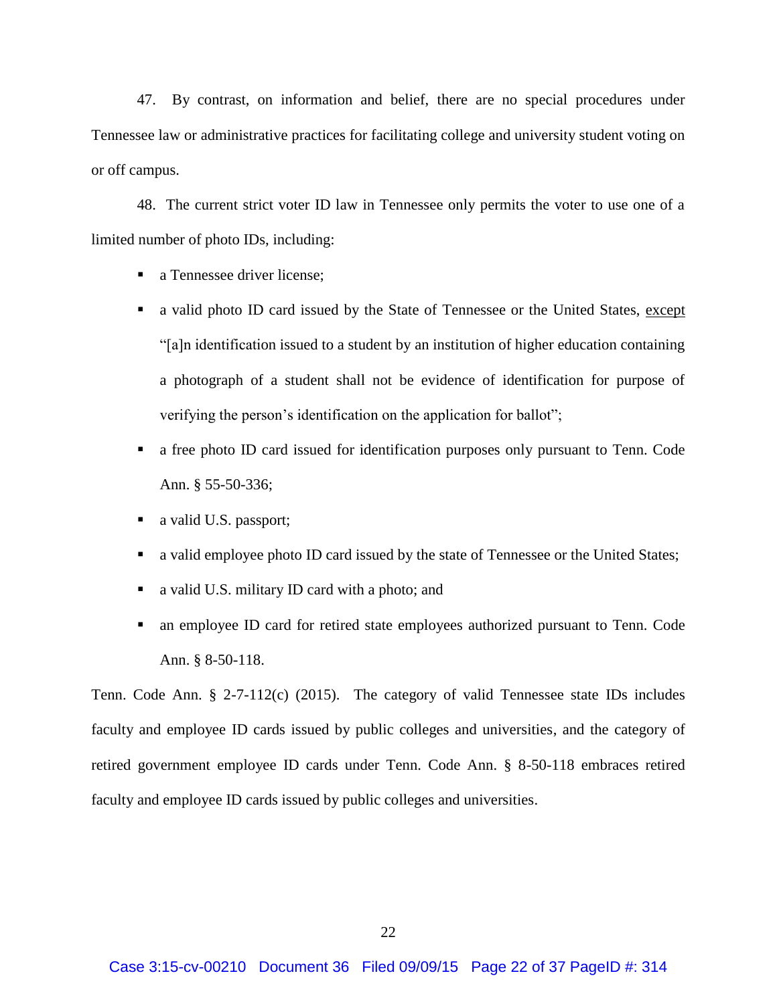47. By contrast, on information and belief, there are no special procedures under Tennessee law or administrative practices for facilitating college and university student voting on or off campus.

48. The current strict voter ID law in Tennessee only permits the voter to use one of a limited number of photo IDs, including:

- a Tennessee driver license;
- a valid photo ID card issued by the State of Tennessee or the United States, except "[a]n identification issued to a student by an institution of higher education containing a photograph of a student shall not be evidence of identification for purpose of verifying the person's identification on the application for ballot";
- a free photo ID card issued for identification purposes only pursuant to Tenn. Code Ann. § 55-50-336;
- a valid U.S. passport;
- a valid employee photo ID card issued by the state of Tennessee or the United States;
- a valid U.S. military ID card with a photo; and
- an employee ID card for retired state employees authorized pursuant to Tenn. Code Ann. § 8-50-118.

Tenn. Code Ann. § 2-7-112(c) (2015). The category of valid Tennessee state IDs includes faculty and employee ID cards issued by public colleges and universities, and the category of retired government employee ID cards under Tenn. Code Ann. § 8-50-118 embraces retired faculty and employee ID cards issued by public colleges and universities.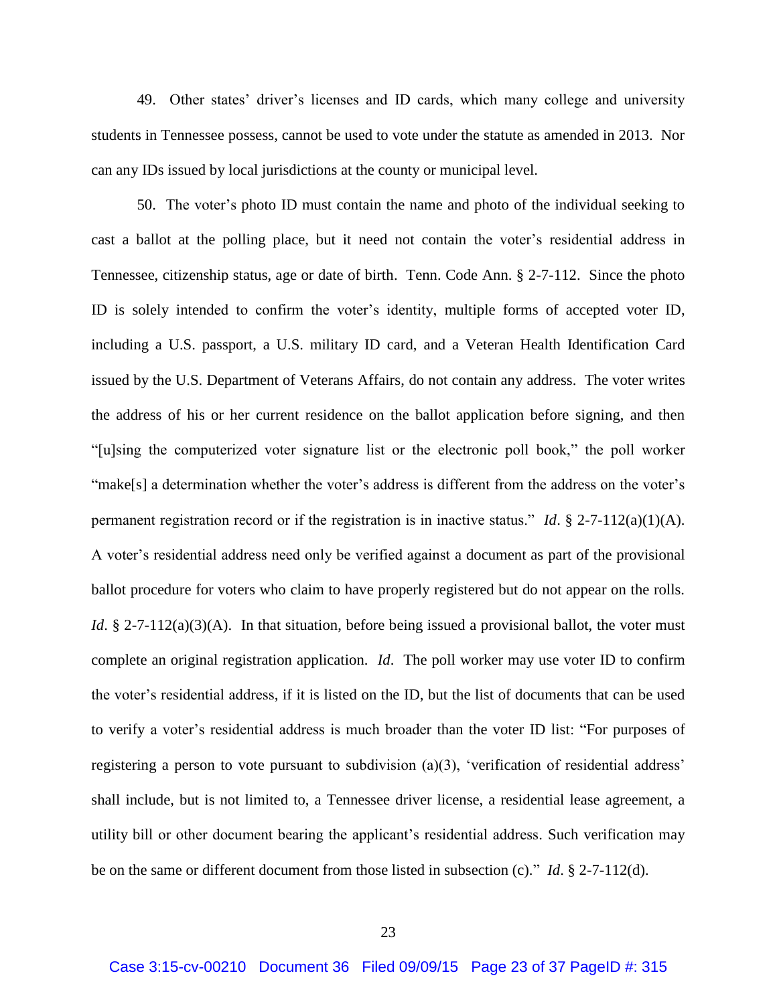49. Other states' driver's licenses and ID cards, which many college and university students in Tennessee possess, cannot be used to vote under the statute as amended in 2013. Nor can any IDs issued by local jurisdictions at the county or municipal level.

50. The voter's photo ID must contain the name and photo of the individual seeking to cast a ballot at the polling place, but it need not contain the voter's residential address in Tennessee, citizenship status, age or date of birth. Tenn. Code Ann. § 2-7-112. Since the photo ID is solely intended to confirm the voter's identity, multiple forms of accepted voter ID, including a U.S. passport, a U.S. military ID card, and a Veteran Health Identification Card issued by the U.S. Department of Veterans Affairs, do not contain any address. The voter writes the address of his or her current residence on the ballot application before signing, and then "[u]sing the computerized voter signature list or the electronic poll book," the poll worker "make[s] a determination whether the voter's address is different from the address on the voter's permanent registration record or if the registration is in inactive status." *Id*. § 2-7-112(a)(1)(A). A voter's residential address need only be verified against a document as part of the provisional ballot procedure for voters who claim to have properly registered but do not appear on the rolls. *Id*. § 2-7-112(a)(3)(A). In that situation, before being issued a provisional ballot, the voter must complete an original registration application. *Id*. The poll worker may use voter ID to confirm the voter's residential address, if it is listed on the ID, but the list of documents that can be used to verify a voter's residential address is much broader than the voter ID list: "For purposes of registering a person to vote pursuant to subdivision (a)(3), 'verification of residential address' shall include, but is not limited to, a Tennessee driver license, a residential lease agreement, a utility bill or other document bearing the applicant's residential address. Such verification may be on the same or different document from those listed in subsection (c)." *Id*. § 2-7-112(d).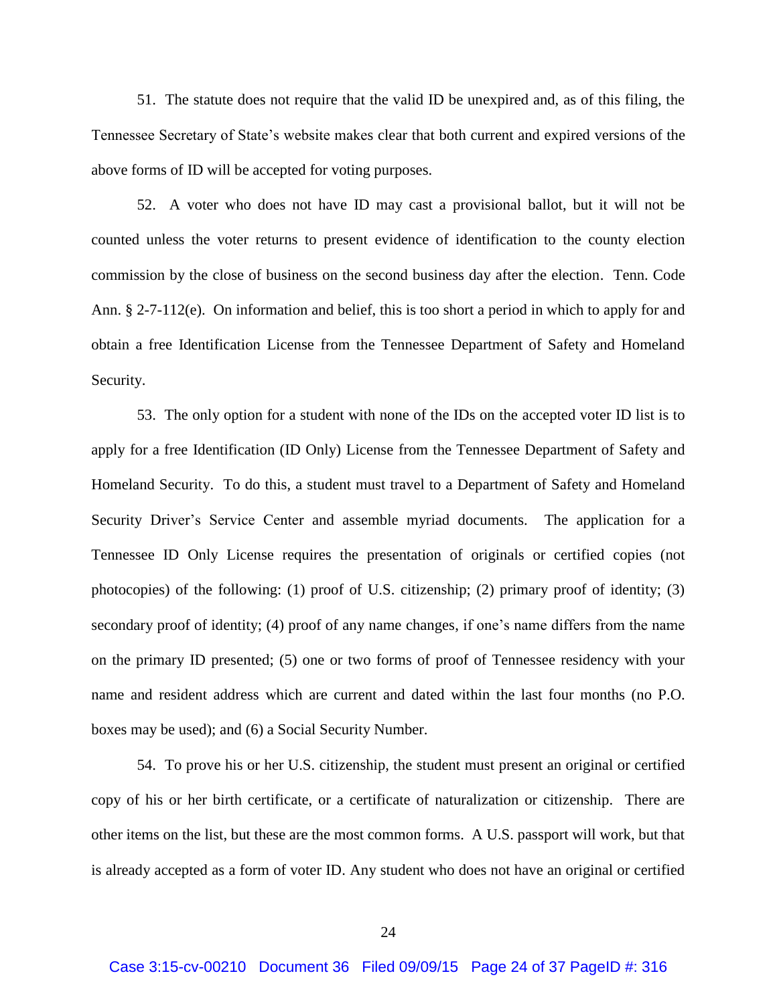51. The statute does not require that the valid ID be unexpired and, as of this filing, the Tennessee Secretary of State's website makes clear that both current and expired versions of the above forms of ID will be accepted for voting purposes.

52. A voter who does not have ID may cast a provisional ballot, but it will not be counted unless the voter returns to present evidence of identification to the county election commission by the close of business on the second business day after the election. Tenn. Code Ann. § 2-7-112(e). On information and belief, this is too short a period in which to apply for and obtain a free Identification License from the Tennessee Department of Safety and Homeland Security.

53. The only option for a student with none of the IDs on the accepted voter ID list is to apply for a free Identification (ID Only) License from the Tennessee Department of Safety and Homeland Security. To do this, a student must travel to a Department of Safety and Homeland Security Driver's Service Center and assemble myriad documents. The application for a Tennessee ID Only License requires the presentation of originals or certified copies (not photocopies) of the following: (1) proof of U.S. citizenship; (2) primary proof of identity; (3) secondary proof of identity; (4) proof of any name changes, if one's name differs from the name on the primary ID presented; (5) one or two forms of proof of Tennessee residency with your name and resident address which are current and dated within the last four months (no P.O. boxes may be used); and (6) a Social Security Number.

54. To prove his or her U.S. citizenship, the student must present an original or certified copy of his or her birth certificate, or a certificate of naturalization or citizenship. There are other items on the list, but these are the most common forms. A U.S. passport will work, but that is already accepted as a form of voter ID. Any student who does not have an original or certified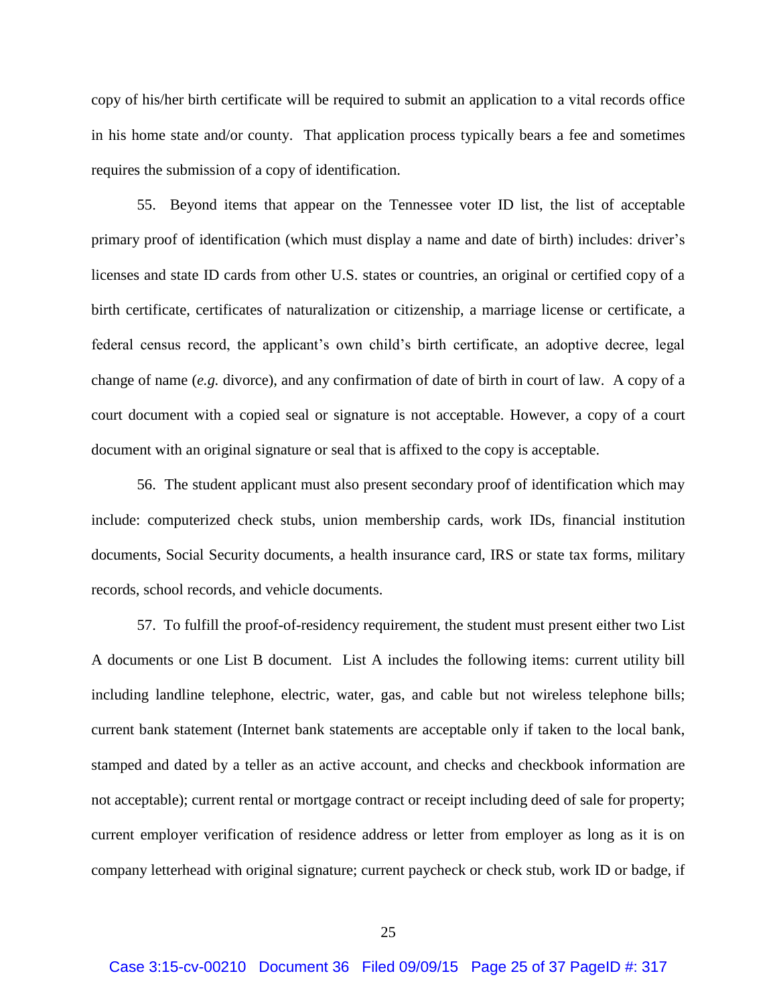copy of his/her birth certificate will be required to submit an application to a vital records office in his home state and/or county. That application process typically bears a fee and sometimes requires the submission of a copy of identification.

55. Beyond items that appear on the Tennessee voter ID list, the list of acceptable primary proof of identification (which must display a name and date of birth) includes: driver's licenses and state ID cards from other U.S. states or countries, an original or certified copy of a birth certificate, certificates of naturalization or citizenship, a marriage license or certificate, a federal census record, the applicant's own child's birth certificate, an adoptive decree, legal change of name (*e.g.* divorce), and any confirmation of date of birth in court of law. A copy of a court document with a copied seal or signature is not acceptable. However, a copy of a court document with an original signature or seal that is affixed to the copy is acceptable.

56. The student applicant must also present secondary proof of identification which may include: computerized check stubs, union membership cards, work IDs, financial institution documents, Social Security documents, a health insurance card, IRS or state tax forms, military records, school records, and vehicle documents.

57. To fulfill the proof-of-residency requirement, the student must present either two List A documents or one List B document. List A includes the following items: current utility bill including landline telephone, electric, water, gas, and cable but not wireless telephone bills; current bank statement (Internet bank statements are acceptable only if taken to the local bank, stamped and dated by a teller as an active account, and checks and checkbook information are not acceptable); current rental or mortgage contract or receipt including deed of sale for property; current employer verification of residence address or letter from employer as long as it is on company letterhead with original signature; current paycheck or check stub, work ID or badge, if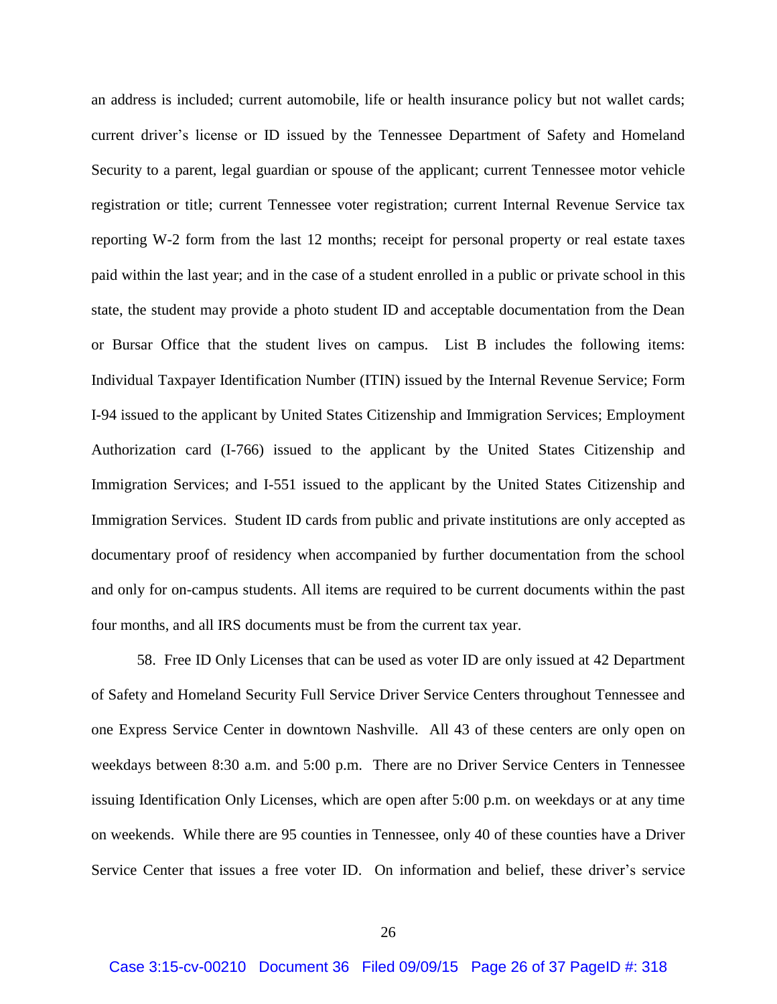an address is included; current automobile, life or health insurance policy but not wallet cards; current driver's license or ID issued by the Tennessee Department of Safety and Homeland Security to a parent, legal guardian or spouse of the applicant; current Tennessee motor vehicle registration or title; current Tennessee voter registration; current Internal Revenue Service tax reporting W-2 form from the last 12 months; receipt for personal property or real estate taxes paid within the last year; and in the case of a student enrolled in a public or private school in this state, the student may provide a photo student ID and acceptable documentation from the Dean or Bursar Office that the student lives on campus. List B includes the following items: Individual Taxpayer Identification Number (ITIN) issued by the Internal Revenue Service; Form I-94 issued to the applicant by United States Citizenship and Immigration Services; Employment Authorization card (I-766) issued to the applicant by the United States Citizenship and Immigration Services; and I-551 issued to the applicant by the United States Citizenship and Immigration Services. Student ID cards from public and private institutions are only accepted as documentary proof of residency when accompanied by further documentation from the school and only for on-campus students. All items are required to be current documents within the past four months, and all IRS documents must be from the current tax year.

58. Free ID Only Licenses that can be used as voter ID are only issued at 42 Department of Safety and Homeland Security Full Service Driver Service Centers throughout Tennessee and one Express Service Center in downtown Nashville. All 43 of these centers are only open on weekdays between 8:30 a.m. and 5:00 p.m. There are no Driver Service Centers in Tennessee issuing Identification Only Licenses, which are open after 5:00 p.m. on weekdays or at any time on weekends. While there are 95 counties in Tennessee, only 40 of these counties have a Driver Service Center that issues a free voter ID. On information and belief, these driver's service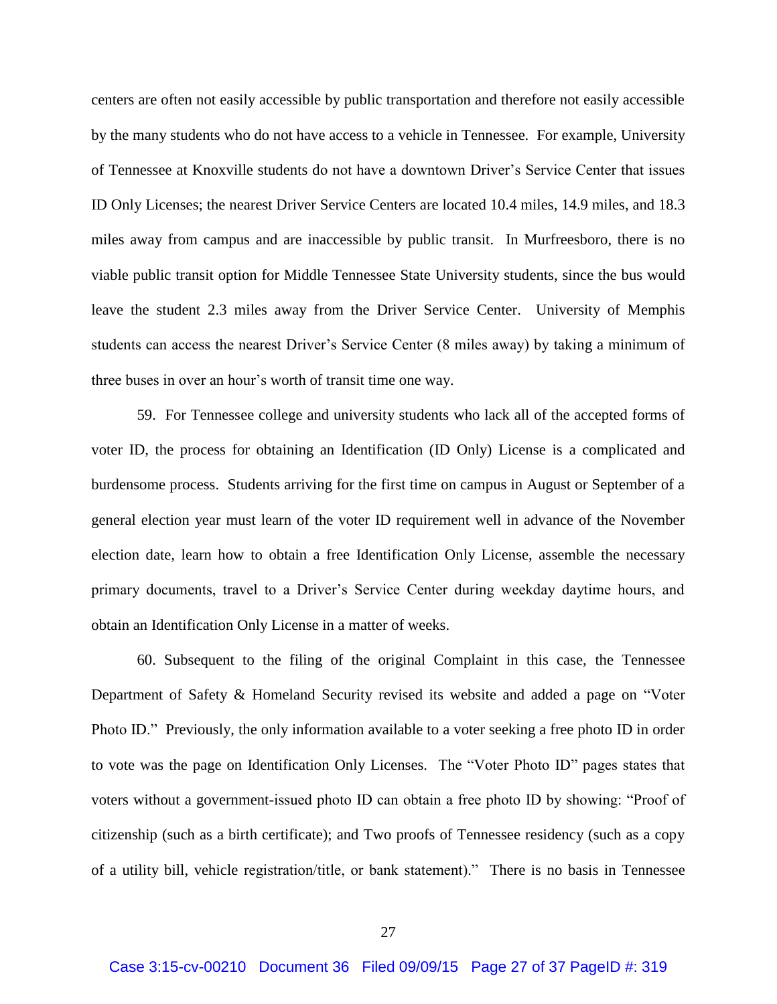centers are often not easily accessible by public transportation and therefore not easily accessible by the many students who do not have access to a vehicle in Tennessee. For example, University of Tennessee at Knoxville students do not have a downtown Driver's Service Center that issues ID Only Licenses; the nearest Driver Service Centers are located 10.4 miles, 14.9 miles, and 18.3 miles away from campus and are inaccessible by public transit. In Murfreesboro, there is no viable public transit option for Middle Tennessee State University students, since the bus would leave the student 2.3 miles away from the Driver Service Center. University of Memphis students can access the nearest Driver's Service Center (8 miles away) by taking a minimum of three buses in over an hour's worth of transit time one way.

59. For Tennessee college and university students who lack all of the accepted forms of voter ID, the process for obtaining an Identification (ID Only) License is a complicated and burdensome process. Students arriving for the first time on campus in August or September of a general election year must learn of the voter ID requirement well in advance of the November election date, learn how to obtain a free Identification Only License, assemble the necessary primary documents, travel to a Driver's Service Center during weekday daytime hours, and obtain an Identification Only License in a matter of weeks.

60. Subsequent to the filing of the original Complaint in this case, the Tennessee Department of Safety & Homeland Security revised its website and added a page on "Voter Photo ID." Previously, the only information available to a voter seeking a free photo ID in order to vote was the page on Identification Only Licenses. The "Voter Photo ID" pages states that voters without a government-issued photo ID can obtain a free photo ID by showing: "Proof of citizenship (such as a birth certificate); and Two proofs of Tennessee residency (such as a copy of a utility bill, vehicle registration/title, or bank statement)." There is no basis in Tennessee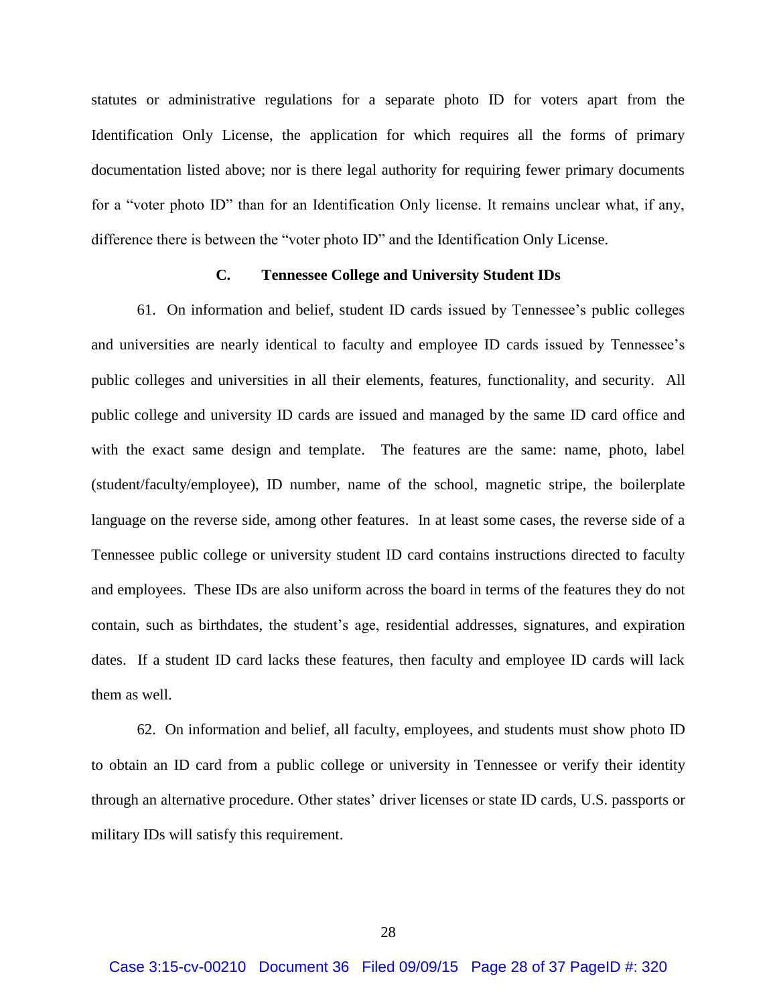statutes or administrative regulations for a separate photo ID for voters apart from the Identification Only License, the application for which requires all the forms of primary documentation listed above; nor is there legal authority for requiring fewer primary documents for a "voter photo ID" than for an Identification Only license. It remains unclear what, if any, difference there is between the "voter photo ID" and the Identification Only License.

### **C. Tennessee College and University Student IDs**

61. On information and belief, student ID cards issued by Tennessee's public colleges and universities are nearly identical to faculty and employee ID cards issued by Tennessee's public colleges and universities in all their elements, features, functionality, and security. All public college and university ID cards are issued and managed by the same ID card office and with the exact same design and template. The features are the same: name, photo, label (student/faculty/employee), ID number, name of the school, magnetic stripe, the boilerplate language on the reverse side, among other features. In at least some cases, the reverse side of a Tennessee public college or university student ID card contains instructions directed to faculty and employees. These IDs are also uniform across the board in terms of the features they do not contain, such as birthdates, the student's age, residential addresses, signatures, and expiration dates. If a student ID card lacks these features, then faculty and employee ID cards will lack them as well.

62. On information and belief, all faculty, employees, and students must show photo ID to obtain an ID card from a public college or university in Tennessee or verify their identity through an alternative procedure. Other states' driver licenses or state ID cards, U.S. passports or military IDs will satisfy this requirement.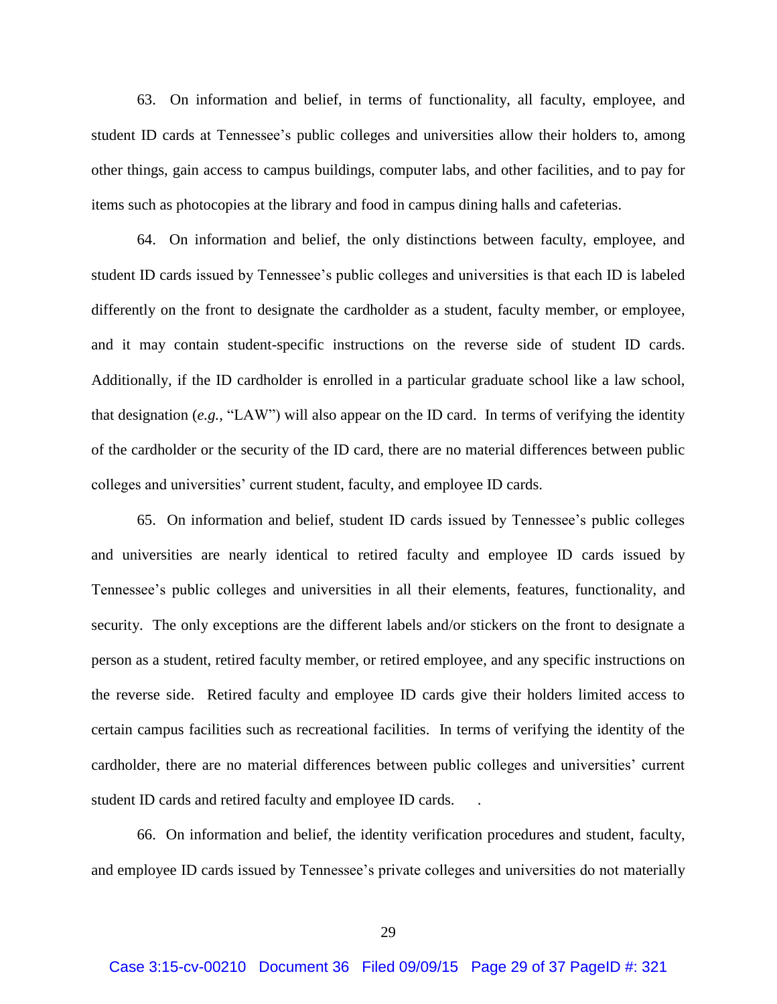63. On information and belief, in terms of functionality, all faculty, employee, and student ID cards at Tennessee's public colleges and universities allow their holders to, among other things, gain access to campus buildings, computer labs, and other facilities, and to pay for items such as photocopies at the library and food in campus dining halls and cafeterias.

64. On information and belief, the only distinctions between faculty, employee, and student ID cards issued by Tennessee's public colleges and universities is that each ID is labeled differently on the front to designate the cardholder as a student, faculty member, or employee, and it may contain student-specific instructions on the reverse side of student ID cards. Additionally, if the ID cardholder is enrolled in a particular graduate school like a law school, that designation (*e.g.*, "LAW") will also appear on the ID card. In terms of verifying the identity of the cardholder or the security of the ID card, there are no material differences between public colleges and universities' current student, faculty, and employee ID cards.

65. On information and belief, student ID cards issued by Tennessee's public colleges and universities are nearly identical to retired faculty and employee ID cards issued by Tennessee's public colleges and universities in all their elements, features, functionality, and security. The only exceptions are the different labels and/or stickers on the front to designate a person as a student, retired faculty member, or retired employee, and any specific instructions on the reverse side. Retired faculty and employee ID cards give their holders limited access to certain campus facilities such as recreational facilities. In terms of verifying the identity of the cardholder, there are no material differences between public colleges and universities' current student ID cards and retired faculty and employee ID cards. .

66. On information and belief, the identity verification procedures and student, faculty, and employee ID cards issued by Tennessee's private colleges and universities do not materially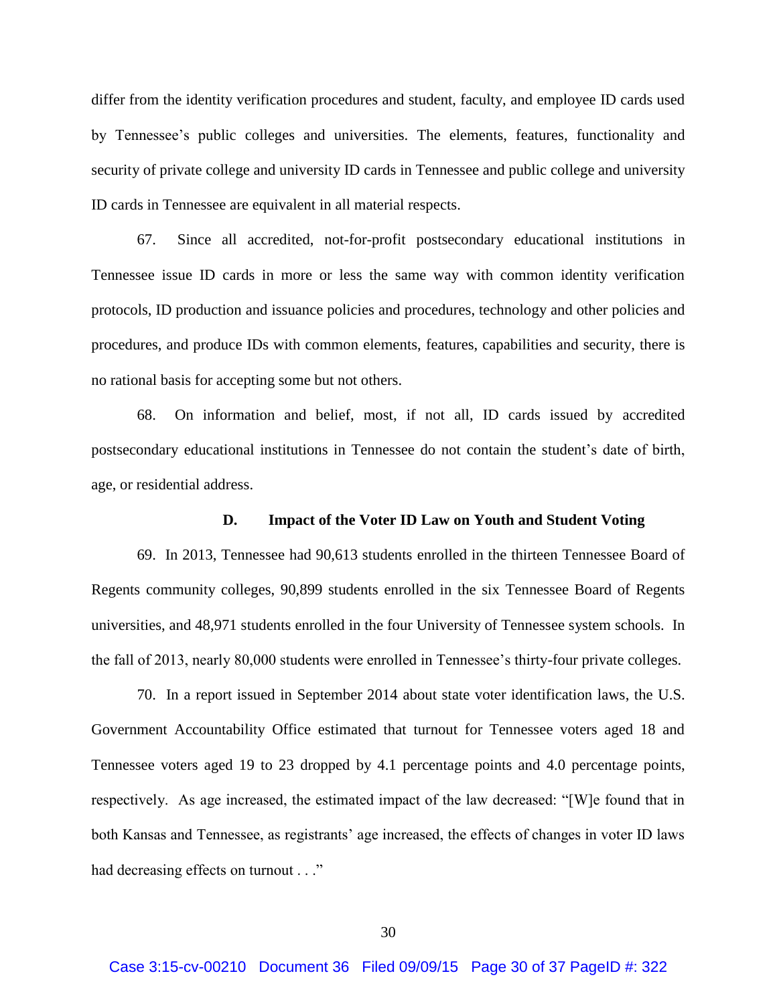differ from the identity verification procedures and student, faculty, and employee ID cards used by Tennessee's public colleges and universities. The elements, features, functionality and security of private college and university ID cards in Tennessee and public college and university ID cards in Tennessee are equivalent in all material respects.

67. Since all accredited, not-for-profit postsecondary educational institutions in Tennessee issue ID cards in more or less the same way with common identity verification protocols, ID production and issuance policies and procedures, technology and other policies and procedures, and produce IDs with common elements, features, capabilities and security, there is no rational basis for accepting some but not others.

68. On information and belief, most, if not all, ID cards issued by accredited postsecondary educational institutions in Tennessee do not contain the student's date of birth, age, or residential address.

### **D. Impact of the Voter ID Law on Youth and Student Voting**

 69. In 2013, Tennessee had 90,613 students enrolled in the thirteen Tennessee Board of Regents community colleges, 90,899 students enrolled in the six Tennessee Board of Regents universities, and 48,971 students enrolled in the four University of Tennessee system schools. In the fall of 2013, nearly 80,000 students were enrolled in Tennessee's thirty-four private colleges.

70. In a report issued in September 2014 about state voter identification laws, the U.S. Government Accountability Office estimated that turnout for Tennessee voters aged 18 and Tennessee voters aged 19 to 23 dropped by 4.1 percentage points and 4.0 percentage points, respectively. As age increased, the estimated impact of the law decreased: "[W]e found that in both Kansas and Tennessee, as registrants' age increased, the effects of changes in voter ID laws had decreasing effects on turnout . . ."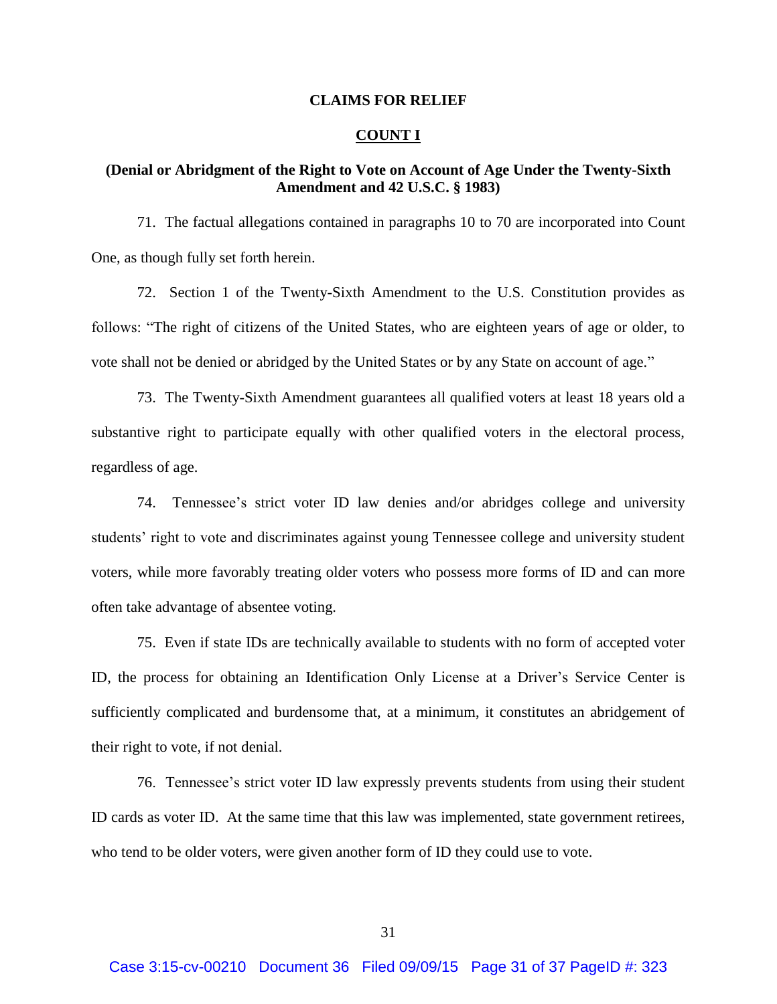#### **CLAIMS FOR RELIEF**

#### **COUNT I**

# **(Denial or Abridgment of the Right to Vote on Account of Age Under the Twenty-Sixth Amendment and 42 U.S.C. § 1983)**

71. The factual allegations contained in paragraphs 10 to 70 are incorporated into Count One, as though fully set forth herein.

72. Section 1 of the Twenty-Sixth Amendment to the U.S. Constitution provides as follows: "The right of citizens of the United States, who are eighteen years of age or older, to vote shall not be denied or abridged by the United States or by any State on account of age."

73. The Twenty-Sixth Amendment guarantees all qualified voters at least 18 years old a substantive right to participate equally with other qualified voters in the electoral process, regardless of age.

74. Tennessee's strict voter ID law denies and/or abridges college and university students' right to vote and discriminates against young Tennessee college and university student voters, while more favorably treating older voters who possess more forms of ID and can more often take advantage of absentee voting.

75. Even if state IDs are technically available to students with no form of accepted voter ID, the process for obtaining an Identification Only License at a Driver's Service Center is sufficiently complicated and burdensome that, at a minimum, it constitutes an abridgement of their right to vote, if not denial.

76. Tennessee's strict voter ID law expressly prevents students from using their student ID cards as voter ID. At the same time that this law was implemented, state government retirees, who tend to be older voters, were given another form of ID they could use to vote.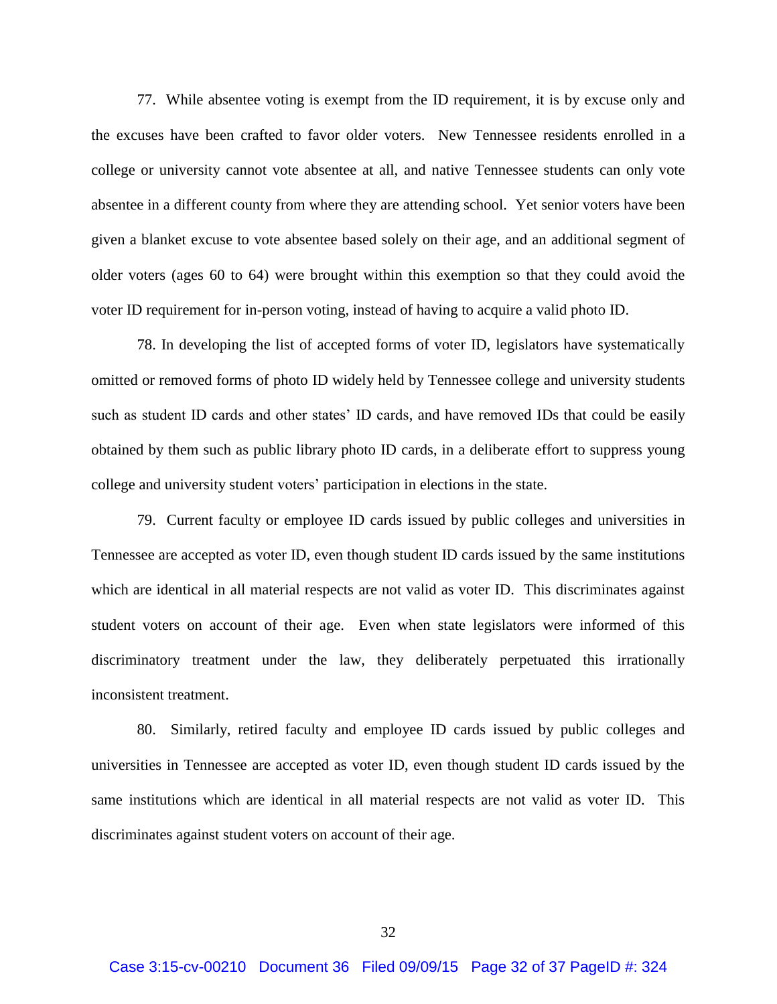77. While absentee voting is exempt from the ID requirement, it is by excuse only and the excuses have been crafted to favor older voters. New Tennessee residents enrolled in a college or university cannot vote absentee at all, and native Tennessee students can only vote absentee in a different county from where they are attending school. Yet senior voters have been given a blanket excuse to vote absentee based solely on their age, and an additional segment of older voters (ages 60 to 64) were brought within this exemption so that they could avoid the voter ID requirement for in-person voting, instead of having to acquire a valid photo ID.

78. In developing the list of accepted forms of voter ID, legislators have systematically omitted or removed forms of photo ID widely held by Tennessee college and university students such as student ID cards and other states' ID cards, and have removed IDs that could be easily obtained by them such as public library photo ID cards, in a deliberate effort to suppress young college and university student voters' participation in elections in the state.

79. Current faculty or employee ID cards issued by public colleges and universities in Tennessee are accepted as voter ID, even though student ID cards issued by the same institutions which are identical in all material respects are not valid as voter ID. This discriminates against student voters on account of their age. Even when state legislators were informed of this discriminatory treatment under the law, they deliberately perpetuated this irrationally inconsistent treatment.

80. Similarly, retired faculty and employee ID cards issued by public colleges and universities in Tennessee are accepted as voter ID, even though student ID cards issued by the same institutions which are identical in all material respects are not valid as voter ID. This discriminates against student voters on account of their age.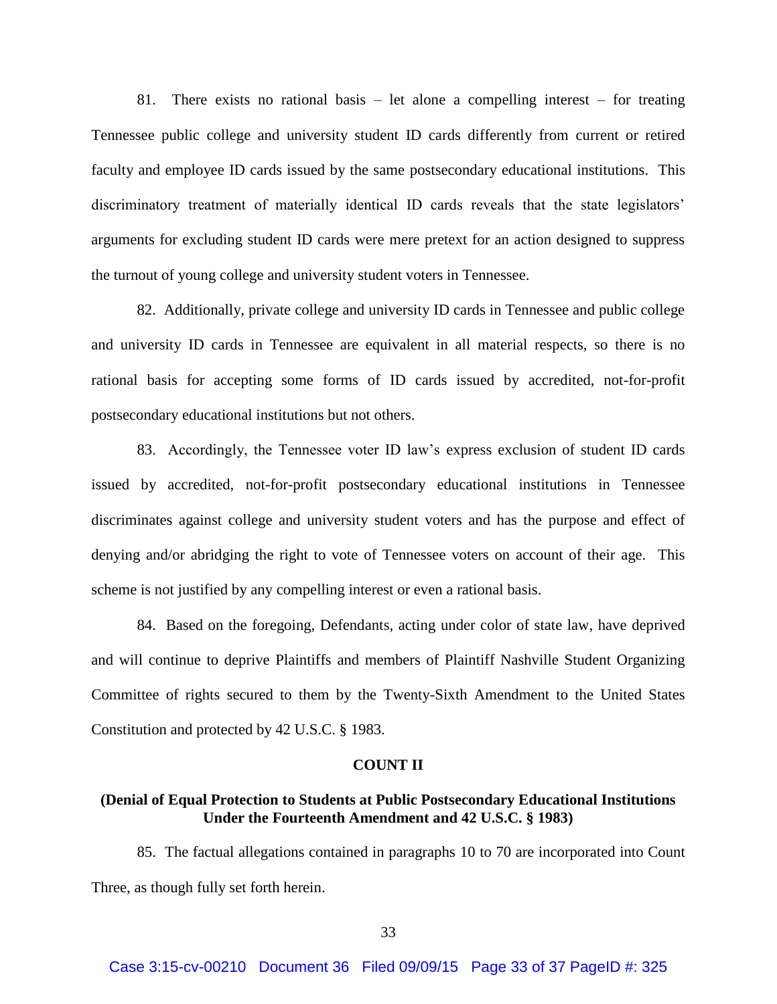81. There exists no rational basis – let alone a compelling interest – for treating Tennessee public college and university student ID cards differently from current or retired faculty and employee ID cards issued by the same postsecondary educational institutions. This discriminatory treatment of materially identical ID cards reveals that the state legislators' arguments for excluding student ID cards were mere pretext for an action designed to suppress the turnout of young college and university student voters in Tennessee.

82. Additionally, private college and university ID cards in Tennessee and public college and university ID cards in Tennessee are equivalent in all material respects, so there is no rational basis for accepting some forms of ID cards issued by accredited, not-for-profit postsecondary educational institutions but not others.

83. Accordingly, the Tennessee voter ID law's express exclusion of student ID cards issued by accredited, not-for-profit postsecondary educational institutions in Tennessee discriminates against college and university student voters and has the purpose and effect of denying and/or abridging the right to vote of Tennessee voters on account of their age. This scheme is not justified by any compelling interest or even a rational basis.

84. Based on the foregoing, Defendants, acting under color of state law, have deprived and will continue to deprive Plaintiffs and members of Plaintiff Nashville Student Organizing Committee of rights secured to them by the Twenty-Sixth Amendment to the United States Constitution and protected by 42 U.S.C. § 1983.

#### **COUNT II**

# **(Denial of Equal Protection to Students at Public Postsecondary Educational Institutions Under the Fourteenth Amendment and 42 U.S.C. § 1983)**

85. The factual allegations contained in paragraphs 10 to 70 are incorporated into Count Three, as though fully set forth herein.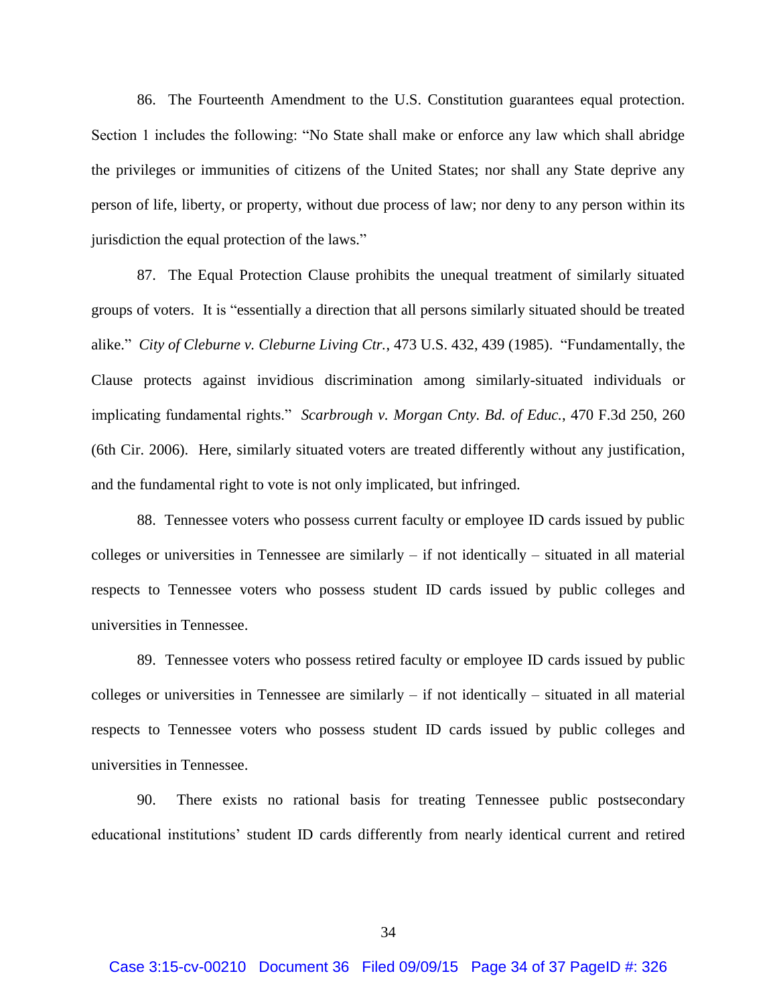86. The Fourteenth Amendment to the U.S. Constitution guarantees equal protection. Section 1 includes the following: "No State shall make or enforce any law which shall abridge the privileges or immunities of citizens of the United States; nor shall any State deprive any person of life, liberty, or property, without due process of law; nor deny to any person within its jurisdiction the equal protection of the laws."

87. The Equal Protection Clause prohibits the unequal treatment of similarly situated groups of voters. It is "essentially a direction that all persons similarly situated should be treated alike." *City of Cleburne v. Cleburne Living Ctr.*, 473 U.S. 432, 439 (1985). "Fundamentally, the Clause protects against invidious discrimination among similarly-situated individuals or implicating fundamental rights." *Scarbrough v. Morgan Cnty. Bd. of Educ.*, 470 F.3d 250, 260 (6th Cir. 2006). Here, similarly situated voters are treated differently without any justification, and the fundamental right to vote is not only implicated, but infringed.

88. Tennessee voters who possess current faculty or employee ID cards issued by public colleges or universities in Tennessee are similarly – if not identically – situated in all material respects to Tennessee voters who possess student ID cards issued by public colleges and universities in Tennessee.

89. Tennessee voters who possess retired faculty or employee ID cards issued by public colleges or universities in Tennessee are similarly  $-$  if not identically  $-$  situated in all material respects to Tennessee voters who possess student ID cards issued by public colleges and universities in Tennessee.

90. There exists no rational basis for treating Tennessee public postsecondary educational institutions' student ID cards differently from nearly identical current and retired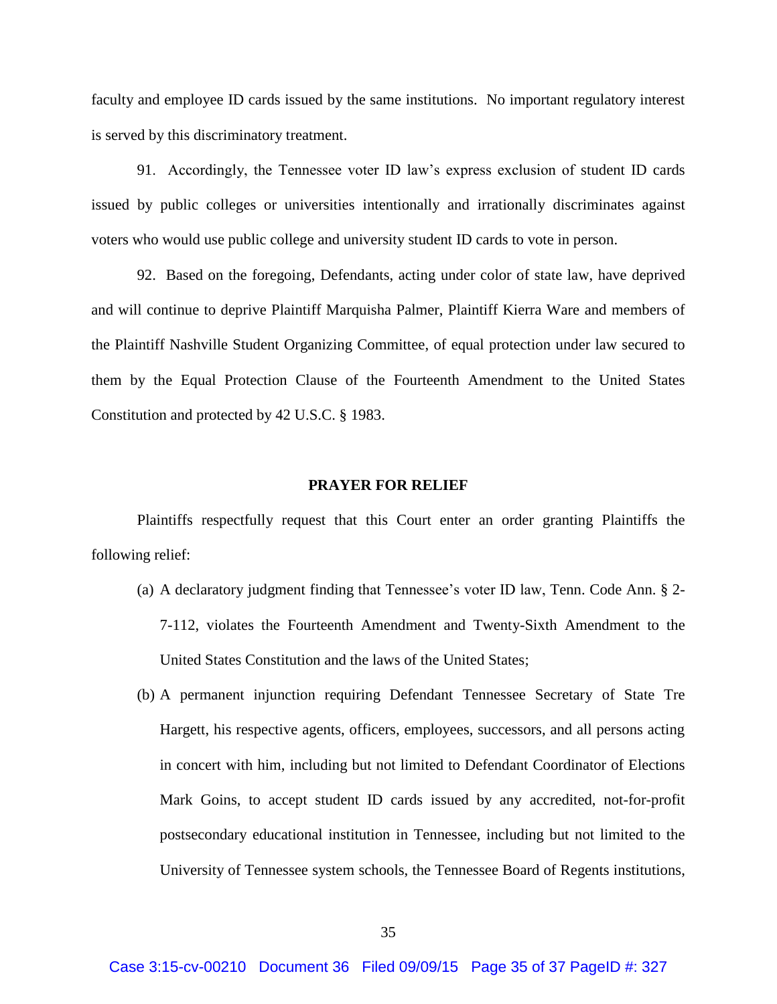faculty and employee ID cards issued by the same institutions. No important regulatory interest is served by this discriminatory treatment.

91. Accordingly, the Tennessee voter ID law's express exclusion of student ID cards issued by public colleges or universities intentionally and irrationally discriminates against voters who would use public college and university student ID cards to vote in person.

92. Based on the foregoing, Defendants, acting under color of state law, have deprived and will continue to deprive Plaintiff Marquisha Palmer, Plaintiff Kierra Ware and members of the Plaintiff Nashville Student Organizing Committee, of equal protection under law secured to them by the Equal Protection Clause of the Fourteenth Amendment to the United States Constitution and protected by 42 U.S.C. § 1983.

#### **PRAYER FOR RELIEF**

Plaintiffs respectfully request that this Court enter an order granting Plaintiffs the following relief:

- (a) A declaratory judgment finding that Tennessee's voter ID law, Tenn. Code Ann. § 2- 7-112, violates the Fourteenth Amendment and Twenty-Sixth Amendment to the United States Constitution and the laws of the United States;
- (b) A permanent injunction requiring Defendant Tennessee Secretary of State Tre Hargett, his respective agents, officers, employees, successors, and all persons acting in concert with him, including but not limited to Defendant Coordinator of Elections Mark Goins, to accept student ID cards issued by any accredited, not-for-profit postsecondary educational institution in Tennessee, including but not limited to the University of Tennessee system schools, the Tennessee Board of Regents institutions,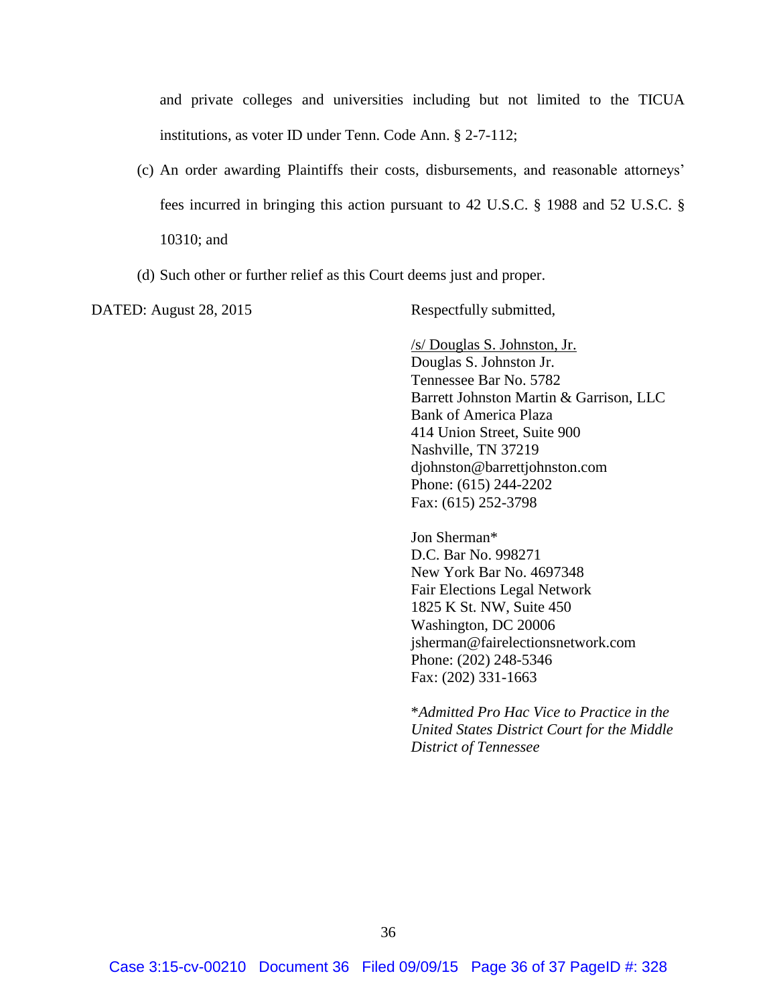and private colleges and universities including but not limited to the TICUA institutions, as voter ID under Tenn. Code Ann. § 2-7-112;

- (c) An order awarding Plaintiffs their costs, disbursements, and reasonable attorneys' fees incurred in bringing this action pursuant to 42 U.S.C. § 1988 and 52 U.S.C. § 10310; and
- (d) Such other or further relief as this Court deems just and proper.

DATED: August 28, 2015 Respectfully submitted,

/s/ Douglas S. Johnston, Jr. Douglas S. Johnston Jr. Tennessee Bar No. 5782 Barrett Johnston Martin & Garrison, LLC Bank of America Plaza 414 Union Street, Suite 900 Nashville, TN 37219 djohnston@barrettjohnston.com Phone: (615) 244-2202 Fax: (615) 252-3798

Jon Sherman\* D.C. Bar No. 998271 New York Bar No. 4697348 Fair Elections Legal Network 1825 K St. NW, Suite 450 Washington, DC 20006 jsherman@fairelectionsnetwork.com Phone: (202) 248-5346 Fax: (202) 331-1663

\**Admitted Pro Hac Vice to Practice in the United States District Court for the Middle District of Tennessee*